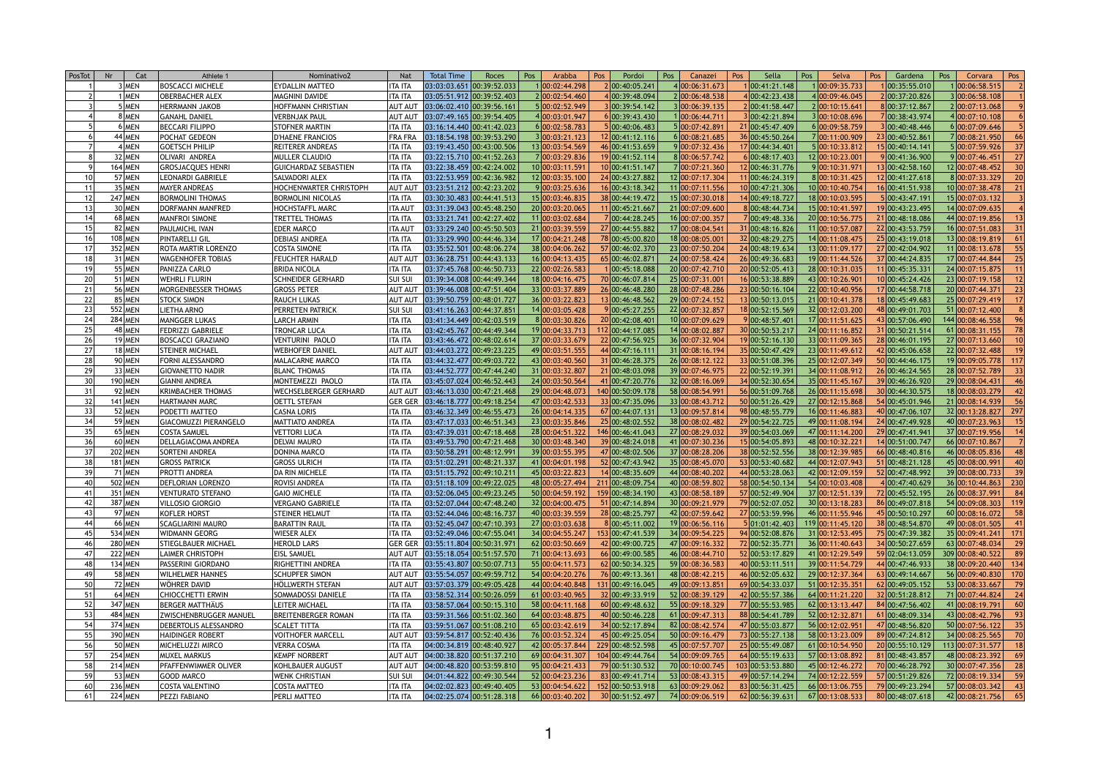| PosTot | Nr<br>Cat      | Athlete 1                     | Nominativo2                 | <b>Nat</b>     | <b>Total Time</b>             | Roces | Pos | Arabba          | Pos | Pordoi                              | Pos<br>Canazei  | Pos | Sella            | Pos | Selva            | Pos<br>Gardena                                     | Pos | Corvara               | Pos       |
|--------|----------------|-------------------------------|-----------------------------|----------------|-------------------------------|-------|-----|-----------------|-----|-------------------------------------|-----------------|-----|------------------|-----|------------------|----------------------------------------------------|-----|-----------------------|-----------|
|        | 3   MEN        | <b>BOSCACCI MICHELE</b>       | <b>EYDALLIN MATTEO</b>      | <b>ITA ITA</b> | 03:03:03.651 00:39:52.033     |       |     | 1 00:02:44.298  |     | 2 00:40:05.241                      | 4 00:06:31.673  |     | 00:41:21.148     |     | 00:09:35.733     | 1 00:35:55.010                                     |     | 00:06:58.515          |           |
|        | <b>MEN</b>     | <b>OBERBACHER ALEX</b>        | MAGNINI DAVIDE              | <b>ITA ITA</b> | 03:05:51.912 00:39:52.403     |       |     | 2 00:02:54.460  |     | 4 00:39:48.094                      | 2 00:06:48.538  |     | 00:42:23.438     |     | 4 00:09:46.045   | 2 00:37:20.826                                     |     | 3 00:06:58.108        |           |
|        | 5   MEN        | <b>HERRMANN JAKOB</b>         | HOFFMANN CHRISTIAN          | <b>AUT AUT</b> | 03:06:02.410 00:39:56.161     |       |     | 5 00:02:52.949  |     | 3 00:39:54.142                      | 3 00:06:39.135  |     | 200:41:58.447    |     | 2 00:10:15.641   | 8 00:37:12.867                                     |     | 2 00:07:13.068        |           |
|        | 8 MEN          | GANAHL DANIEL                 | <b>VERBNJAK PAUL</b>        | <b>AUT AUT</b> | $03:07:49.165$ 00:39:54.405   |       |     | 4 00:03:01.947  |     | 6 00:39:43.430                      | 100:06:44.711   |     | 00:42:21.894     |     | 3 00:10:08.696   | 7 00:38:43.974                                     |     | 4 00:07:10.108        |           |
|        | 6 MEN          | <b>BECCARI FILIPPO</b>        | <b>STOFNER MARTIN</b>       | <b>ITA ITA</b> | 03:16:14.440 00:41:42.023     |       |     | 6 00:02:58.783  |     | 5 00:40:06.483                      | 5 00:07:42.891  |     | 21 00:45:47.409  |     | 6 00:09:58.759   | 3 00:40:48.446                                     |     | 6 00:07:09.646        |           |
|        | 44 MEN         | <b>POCHAT GEDEON</b>          | <b>D'HAENE FRANCIOS</b>     | <b>FRA FRA</b> | 03:18:54.198 00:39:53.290     |       |     | 3 00:03:21.123  |     | 12 00:41:12.116                     | 6 00:08:21.685  |     | 36 00:45:50.264  |     | 7 00:11:00.909   | 23 00:40:52.861                                    |     | 700:08:21.950         |           |
|        | 4   MEN        | GOETSCH PHILIP                | <b>REITERER ANDREAS</b>     | <b>ITA ITA</b> | $03:19:43.450$ 00:43:00.506   |       |     | 13 00:03:54.569 |     | 46 00:41:53.659                     | 9 00:07:32.436  |     | 17 00:44:34.401  |     | 5 00:10:33.812   | 15 00:40:14.141                                    |     | 5 00:07:59.926        |           |
|        | 32 MEN         | OLIVARI ANDREA                | <b>MULLER CLAUDIO</b>       | ITA ITA        | 03:22:15.710 00:41:52.263     |       |     | 700:03:29.836   |     | 19 00:41:52.114                     | 8 00:06:57.742  |     | 00:48:17.403     |     | 12 00:10:23.001  | 9 00:41:36.900                                     |     | 9 00:07:46.451        |           |
|        | 164 MEN        | GROSJACQUES HENRI             | <b>GUICHARDAZ SEBASTIEN</b> | <b>ITA ITA</b> | 03:22:38.459 00:42:24.002     |       |     | 10 00:03:11.591 |     | 10 00:41:51.147                     | 7 00:07:21.360  |     | 12 00:46:31.776  |     | 9 00:10:31.971   | 13 00:42:58.160                                    |     | 12 00:07:48.452       |           |
|        | 57 MEN         | LEONARDI GABRIELE             | SALVADORI ALEX              | <b>ITA ITA</b> | 03:22:53.959 00:42:36.982     |       |     | 12 00:03:35.100 |     | 24 00:43:27.882                     | 12 00:07:17.304 |     | 1 00:46:24.319   |     | 8 00:10:31.425   | 12 00:41:27.618                                    |     | 8 00:07:33.329        |           |
|        | 35 MEN         | <b>MAYER ANDREAS</b>          | HOCHENWARTER CHRISTOPH      | <b>AUT AUT</b> | 03:23:51.212 00:42:23.202     |       |     | 900:03:25.636   |     | 16 00:43:18.342                     | 11 00:07:11.556 |     | 10 00:47:21.306  |     | 10 00:10:40.754  | 16 00:41:51.938                                    |     | 10 00:07:38.478       |           |
|        | <b>247 MEN</b> | <b>BORMOLINI THOMAS</b>       | <b>BORMOLINI NICOLAS</b>    | <b>ITA ITA</b> | 03:30:30.483 00:44:41.513     |       |     | 15 00:03:46.835 |     | 38 00:44:19.472                     | 15 00:07:30.018 |     | 400:49:18.727    |     | 18 00:10:03.595  | 5 00:43:47.191                                     |     | 15 00:07:03.132       |           |
|        | 30 MEN         | <b>DORFMANN MANFRED</b>       | <b>HOCHSTAFFL MARC</b>      | <b>ITA AUT</b> | 03:31:39.043 00:45:48.250     |       |     | 20 00:03:20.065 |     | 11 00:45:21.667                     | 21 00:07:09.600 |     | 8 00:48:44.734   |     | 15 00:10:41.597  | 19 00:43:23.495                                    |     | 14 00:07:09.635       |           |
|        | 68 MEN         | <b>MANFROI SIMONE</b>         | TRETTEL THOMAS              | <b>ITA ITA</b> | 03:33:21.741 00:42:27.402     |       |     | 11 00:03:02.684 |     | 7 00:44:28.245                      | 16 00:07:00.357 |     | 100:49:48.336    |     | 20 00:10:56.775  | 21 00:48:18.086                                    |     | 44 00:07:19.856       |           |
|        | 82 MEN         | <b>PAULMICHL IVAN</b>         | <b>EDER MARCO</b>           | <b>ITA AUT</b> | 03:33:29.240 00:45:50.503     |       |     | 21 00:03:39.559 |     | 27 00:44:55.882                     | 17 00:08:04.541 |     | 31 00:48:16.826  |     | 11 00:10:57.087  | 22 00:43:53.759                                    |     | 16 00:07:51.083       |           |
|        | <b>108 MEN</b> | <b>PINTARELLI GIL</b>         | <b>DEBIASI ANDREA</b>       | <b>ITA ITA</b> | 03:33:29.990 00:44:46.334     |       |     | 17 00:04:21.248 |     | 78 00:45:00.820                     | 18 00:08:05.001 |     | 32 00:48:29.275  |     | 14 00:11:08.475  | 25 00:43:19.018                                    |     | 13 00:08:19.819       |           |
|        | 352 MEN        | <b>ROTA MARTIR LORENZO</b>    | <b>COSTA SIMONE</b>         | <b>ITA ITA</b> | 03:35:52.501 00:48:06.274     |       |     | 38 00:04:06.262 |     | 57 00:46:02.370                     | 23 00:07:50.204 |     | 24 00:48:19.634  |     | 13 00:11:09.177  | 27 00:42:04.902                                    |     | 11 00:08:13.678       |           |
|        | 31 MEN         | WAGENHOFER TOBIAS             | <b>FEUCHTER HARALD</b>      | <b>AUT AUT</b> | $03:36:28.751$ 00:44:43.133   |       |     | 16 00:04:13.43  |     | 65 00:46:02.871                     | 24 00:07:58.424 |     | 26 00:49:36.683  |     | 19 00:11:44.526  | 37 00:44:24.835                                    |     | 17 00:07:44.844       |           |
|        | $55$ MEN       | <b>PANIZZA CARLO</b>          | <b>BRIDA NICOLA</b>         | <b>ITA ITA</b> | 03:37:45.768 00:46:50.733     |       |     | 22 00:02:26.583 |     | 100:45:18.088                       | 20 00:07:42.710 |     | 20 00:52:05.413  |     | 28 00:10:31.035  | 11 00:45:35.331                                    |     | 24 00:07:15.875       |           |
|        | <b>51 MEN</b>  | WEHRLI FLURIN                 | <b>SCHNEIDER GERHARD</b>    | <b>SUI SUI</b> | 03:39:34.008 00:44:49.344     |       |     | 18 00:04:16.475 |     | 70 00:46:07.814                     | 25 00:07:31.001 |     | 16 00:53:38.889  |     | 43 00:10:26.901  | 10 00:45:24.426                                    |     | 23 00:07:19.158       |           |
|        | 56 MEN         | MORGENBESSER THOMAS           | <b>GROSS PETER</b>          | AUT AUT        | 03:39:46.008 00:47:51.404     |       |     | 33 00:03:37.889 |     | 26 00:46:48.280                     | 28 00:07:48.286 |     | 23 00:50:16.104  |     | 22 00:10:40.956  | 17 00:44:58.718                                    |     | 20 00:07:44.371       |           |
|        | 85 MEN         | STOCK SIMON                   | <b>RAUCH LUKAS</b>          | <b>AUT AUT</b> | 03:39:50.759 00:48:01.727     |       |     | 36 00:03:22.823 |     | 13 00:46:48.562                     | 29 00:07:24.152 |     | 13 00:50:13.015  |     | 21 00:10:41.378  | 18 00:45:49.683                                    |     | 25 00:07:29.419       |           |
|        | 552 MEN        | <b>LIETHA ARNO</b>            | PERRETEN PATRICK            | <b>SUI SUI</b> | 03:41:16.263 00:44:37.851     |       |     | 14 00:03:05.428 |     | 9 00:45:27.255                      | 22 00:07:32.857 |     | 18 00:52:15.569  |     | 32 00:12:03.200  | 48 00:49:01.703                                    |     | 51 00:07:12.400       |           |
|        | 284 MEN        | MANGGER LUKAS                 | <b>LARCH ARMIN</b>          | <b>ITA ITA</b> | 03:41:34.449 00:42:03.519     |       |     | 8 00:03:30.826  |     | 20 00:42:08.401                     | 10 00:07:09.629 |     | 00:48:57.401     |     | 17 00:11:51.625  | 43 00:57:06.490                                    |     | 144 00:08:46.558      |           |
|        | 48 MEN         | <b>FEDRIZZI GABRIELE</b>      | TRONCAR LUCA                | <b>ITA ITA</b> | 03:42:45.767 00:44:49.344     |       |     | 19 00:04:33.71  |     | 112 00:44:17.085                    | 14 00:08:02.887 |     | 30 00:50:53.217  |     | 24 00:11:16.852  | 31 00:50:21.514                                    |     | 61 00:08:31.155       |           |
|        | 19 MEN         | <b>BOSCACCI GRAZIANO</b>      | <b>VENTURINI PAOLO</b>      | ITA ITA        | 03:43:46.472 00:48:02.614     |       |     | 37 00:03:33.679 |     | 22 00:47:56.925                     | 36 00:07:32.904 |     | 19 00:52:16.130  |     | 33 00:11:09.365  | 28 00:46:01.195                                    |     | 27 00:07:13.660       |           |
|        | $18$ MEN       | <b>STEINER MICHAEL</b>        | <b>WEBHOFER DANIEL</b>      | <b>AUT AUT</b> | 03:44:03.272 00:49:23.225     |       |     | 49 00:03:51.555 |     | 44 00:47:16.111                     | 31 00:08:16.194 |     | 35 00:50:47.429  |     | 23 00:11:49.612  | 42 00:45:06.658                                    |     | 22 00:07:32.488       |           |
|        | 90 MEN         | <b>FORNI ALESSANDRO</b>       | MALACARNE MARCO             | ITA ITA        | 03:44:32.477 00:49:03.722     |       |     | 43 00:03:40.560 |     | 31 00:46:28.375                     | 26 00:08:12.122 |     | 33 00:51:08.396  |     | 25 00:12:07.349  | 50 00:44:46.175                                    |     | 19 00:09:05.778       | 117       |
|        | 33 MEN         | GIOVANETTO NADIR              | <b>BLANC THOMAS</b>         | <b>ITA ITA</b> | 03:44:52.777 00:47:44.240     |       |     | 31 00:03:32.807 |     | 21 00:48:03.098                     | 39 00:07:46.975 |     | 22 00:52:19.391  |     | 34 00:11:08.912  | 26 00:46:24.565                                    |     | 28 00:07:52.789       |           |
|        | 190 MEN        | GIANNI ANDREA                 | MONTEMEZZI PAOLO            | <b>ITA ITA</b> | 03:45:07.024 00:46:52.443     |       |     | 24 00:03:50.564 |     | 41 00:47:20.776                     | 32 00:08:16.069 |     | 34 00:52:30.654  |     | 35 00:11:45.167  | 39 00:46:26.920                                    |     | 29 00:08:04.431       |           |
|        | 92 MEN         | <b>KRIMBACHER THOMAS</b>      | WECHSELBERGER GERHARD       | AUT AUT        | 03:46:13.030 00:47:21.468     |       |     | 29 00:04:48.073 |     | 140 00:50:09.178                    | 58 00:08:54.991 |     | 56 00:51:09.768  |     | 26 00:11:15.698  | 30 00:44:30.575                                    |     | 18 00:08:03.279       |           |
|        | 141 MEN        | HARTMANN MARC                 | <b>OETTL STEFAN</b>         | <b>GER GER</b> | $03:46:18.777$ $00:49:18.254$ |       |     | 47 00:03:42.53  |     | 33 00:47:35.096                     | 33 00:08:43.712 |     | 50 00:51:26.429  |     | 27 00:12:15.868  | 54 00:45:01.946                                    |     | 21 00:08:14.939       |           |
|        | 52 MEN         | PODETTI MATTEO                | <b>CASNA LORIS</b>          | ITA ITA        | 03:46:32.349 00:46:55.473     |       |     | 26 00:04:14.335 |     | 67 00:44:07.131                     | 13 00:09:57.814 |     | 98 00:48:55.779  |     | 16 00:11:46.883  | 40 00:47:06.107                                    |     | 32 00:13:28.827       | 297       |
|        | 59 MEN         | GIACOMUZZI PIERANGELO         | <b>MATTIATO ANDREA</b>      | ITA ITA        | 03:47:17.033 00:46:51.343     |       |     | 23 00:03:35.846 |     | 25 00:48:02.552                     | 38 00:08:02.482 |     | 29 00:54:22.725  |     | 49 00:11:08.194  | 24 00:47:49.928                                    |     | 40 00:07:23.963       |           |
|        | 65 MEN         | <b>COSTA SAMUEL</b>           | <b>VETTORI LUCA</b>         | <b>ITA ITA</b> | 03:47:39.031 00:47:18.468     |       |     | 28 00:04:51.322 |     | 146 00:46:41.043                    | 27 00:08:29.032 |     | 39 00:54:03.069  |     | 47 00:11:14.200  | 29 00:47:41.941                                    |     | 37 00:07:19.956       |           |
|        | 60 MEN         | DELLAGIACOMA ANDREA           | <b>DELVAI MAURO</b>         | ITA ITA        | 03:49:53.790 00:47:21.468     |       |     | 30 00:03:48.340 |     | 39 00:48:24.018                     | 41 00:07:30.236 |     | 15 00:54:05.893  |     | 48 00:10:32.221  | 14 00:51:00.747                                    |     | 66 00:07:10.867       |           |
|        | 202 MEN        | <b>SORTENI ANDREA</b>         | DONINA MARCO                | ITA ITA        | 03:50:58.291 00:48:12.991     |       |     | 39 00:03:55.395 |     | 47 00:48:02.506                     | 37 00:08:28.206 |     | 38 00:52:52.556  |     | 38 00:12:39.985  | 66 00:48:40.816                                    |     | 46 00:08:05.836       |           |
|        | <b>181 MEN</b> | GROSS PATRICK                 | <b>GROSS ULRICH</b>         | ITA ITA        | 03:51:02.291 00:48:21.337     |       |     | 41 00:04:01.198 |     | 52 00:47:43.942                     | 35 00:08:45.070 |     | 53 00:53:40.682  |     | 44 00:12:07.943  | 51 00:48:21.128                                    |     | 45 00:08:00.991       |           |
|        | 71 MEN         | PROTTI ANDREA                 | DA RIN MICHELE              | <b>ITA ITA</b> | 03:51:15.792 00:49:10.211     |       |     | 45 00:03:22.823 |     | 14 00:48:35.609                     | 44 00:08:40.202 |     | 44 00:53:28.063  |     | 42 00:12:09.159  | 52 00:47:48.992                                    |     | 39 00:08:00.733       |           |
|        | 502 MEN        | DEFLORIAN LORENZO             | ROVISI ANDREA               | ITA ITA        | 03:51:18.109 00:49:22.025     |       |     | 48 00:05:27.49  |     | 211 00:48:09.754                    | 40 00:08:59.802 |     | 58 00:54:50.134  |     | 54 00:10:03.408  | 4 00:47:40.629                                     |     | 36 00:10:44.863       | 230       |
|        | 351 MEN        | VENTURATO STEFANO             | <b>GAIO MICHELE</b>         | ITA ITA        | 03:52:06.045 00:49:23.245     |       |     | 50 00:04:59.192 |     | 159 00:48:34.190                    | 43 00:08:58.189 |     | 57 00:52:49.904  |     | 37 00:12:51.139  | 72 00:45:52.195                                    |     | 26 00:08:37.991       | 84        |
|        | 387 MEN        | <b>VILLOSIO GIORGIO</b>       | <b>VERGANO GABRIELE</b>     | ITA ITA        | 03:52:07.044 00:47:48.240     |       |     | 32 00:04:00.47  |     | 51 00:47:14.894                     | 30 00:09:21.979 |     | 79 00:52:07.052  |     | 30 00:13:18.283  | 86 00:49:07.818                                    |     | 54 00:09:08.303       |           |
|        | 97 MEN         | KOFLER HORST                  | STEINER HELMUT              | ITA ITA        | 03:52:44.046 00:48:16.737     |       |     | 40 00:03:39.559 |     | 28 00:48:25.797                     | 42 00:07:59.642 |     | 27 00:53:59.996  |     | 46 00:11:55.946  | 45 00:50:10.297                                    |     | 60 00:08:16.072       |           |
|        | 66 MEN         | <b>SCAGLIARINI MAURO</b>      | <b>BARATTIN RAUL</b>        | ITA ITA        | 03:52:45.047 00:47:10.393     |       |     | 27 00:03:03.638 |     | 8 00:45:11.002                      | 19 00:06:56.116 |     | 5 01:01:42.403   |     | 119 00:11:45.120 | 38 00:48:54.870                                    |     | 49 00:08:01.505       |           |
|        | 534 MEN        | WIDMANN GEORG                 | WIESER ALEX                 | <b>ITA ITA</b> | $03:52:49.046$ 00:47:55.041   |       |     | 34 00:04:55.247 |     | 153 00:47:41.539                    | 34 00:09:54.225 |     | 94 00:52:08.876  |     | 31 00:12:53.495  | 75 00:47:39.382                                    |     | 35 00:09:41.241       |           |
|        | 280 MEN        | <b>STIEGLBAUER MICHAEL</b>    | <b>HEROLD LARS</b>          | <b>GER GER</b> | 03:55:11.804 00:50:31.971     |       |     | 62 00:03:50.669 |     | 42 00:49:00.725                     | 47 00:09:16.332 |     | 72 00:52:35.771  |     | 36 00:11:40.643  | 34 00:50:27.659                                    |     | 63 00:07:48.034       |           |
|        | <b>222 MEN</b> | LAIMER CHRISTOPH              | <b>EISL SAMUEL</b>          | <b>AUT AUT</b> | 03:55:18.054 00:51:57.570     |       |     | 71 00:04:13.693 |     | 66 00:49:00.585                     | 46 00:08:44.710 |     | 52 00:53:17.829  |     | 41 00:12:29.549  | 59 02:04:13.059                                    |     | 309 00:08:40.522      |           |
|        | 134 MEN        | <b>PASSERINI GIORDANO</b>     | RIGHETTINI ANDREA           | ITA ITA        | 03:55:43.807 00:50:07.713     |       |     | 55 00:04:11.57  |     | 62 00:50:34.325                     | 59 00:08:36.583 |     | 40 00:53:11.511  |     | 39 00:11:54.729  | 44 00:47:46.933                                    |     | 38 00:09:20.440       | 134       |
|        | 58 MEN         | <b>WILHELMER HANNES</b>       | <b>SCHUPFER SIMON</b>       | <b>AUT AUT</b> | 03:55:54.057 00:49:59.712     |       |     | 54 00:04:20.276 |     | 76 00:49:13.361                     | 48 00:08:42.215 |     | 46 00:52:05.632  |     | 29 00:12:37.364  | 63 00:49:14.667                                    |     | 56 00:09:40.830       |           |
|        | 72 MEN         | WÖHRER DAVID                  | HÖLLWERTH STEFAN            | <b>AUT AUT</b> | 03:57:03.379 00:49:05.428     |       |     | 44 00:04:40.848 |     | 131 00:49:16.045                    | 49 00:09:13.851 |     | 69 00:54:33.037  |     | 51 00:12:35.351  | 62 00:49:05.152                                    |     | 53 00:08:33.667       |           |
|        | $64$ MEN       | CHIOCCHETTI ERWIN             | <b>SOMMADOSSI DANIELE</b>   | <b>ITA ITA</b> | 03:58:52.314 00:50:26.059     |       |     | 61 00:03:40.965 |     | 32 00:49:33.919                     | 52 00:08:39.129 |     | 42 00:55:57.386  |     | 64 00:11:21.220  | 32 00:51:28.812                                    |     | 71 00:07:44.824       |           |
|        | 347 MEN        | BERGER MATTHÄUS               | LEITER MICHAEL              | <b>ITA ITA</b> | 03:58:57.064 00:50:15.310     |       |     | 58 00:04:11.168 |     | 60 00:49:48.632                     | 55 00:09:18.329 |     | 77 00:55:53.985  |     | 62 00:13:13.447  | 84 00:47:56.402                                    |     |                       |           |
|        | 484 MEN        | <b>ZWISCHENBRUGGER MANUEL</b> | <b>BREITENBERGER ROMAN</b>  | ITA ITA        | 03:59:31.566 00:51:02.360     |       |     | 64 00:03:48.875 |     | 40 00:50:46.228                     | 61 00:09:47.313 |     | 88 00:54:41.789  |     | 52 00:12:32.871  | 61 00:48:09.334                                    |     | 43 00:08:42.796       |           |
|        | 374 MEN        | DEBERTOLIS ALESSANDRO         | <b>SCALET TITTA</b>         | <b>ITA ITA</b> | 03:59:51.067 00:51:08.210     |       |     | 65 00:03:42.619 |     | 34 00:52:17.894                     | 82 00:08:42.574 |     | 47 00:55:03.877  |     | 56 00:12:02.951  | 47 00:48:56.820                                    |     | 50 00:07:56.122       |           |
|        | 390 MEN        | <b>HAIDINGER ROBERT</b>       | <b>VOITHOFER MARCELL</b>    | <b>AUT AUT</b> | $03:59:54.817$ 00:52:40.436   |       |     | 76 00:03:52.324 |     | 45 00:49:25.054                     | 50 00:09:16.479 |     | 73 00:55:27.138  |     | 58 00:13:23.009  | 89 00:47:24.812                                    |     | 34 00:08:25.565       |           |
|        | 50 MEN         | MICHELUZZI MIRCO              | <b>VERRA COSMA</b>          | <b>ITA ITA</b> | 04:00:34.819 00:48:40.927     |       |     | 42 00:05:37.84  |     | 229 00:48:52.598                    | 45 00:07:57.707 |     | 25 00:55:49.087  |     | 61 00:10:54.950  | 20 00:55:10.129                                    |     | 113 00:07:31.577      |           |
|        | 254 MEN        | <b>MUXEL MARKUS</b>           | <b>KEMPF NORBERT</b>        | <b>AUT AUT</b> | $04:00:38.820$ 00:51:37.210   |       |     | 69 00:04:31.307 |     | 104 00:49:44.764                    | 54 00:09:09.765 |     | 64 00:55:19.633  |     | 57 00:13:08.892  | 81 00:48:43.857                                    |     | 48 00:08:23.392       | <b>69</b> |
|        | $214$ MEN      | <b>PFAFFENWIMMER OLIVER</b>   | <b>KOHLBAUER AUGUST</b>     | <b>AUT AUT</b> | 04:00:48.820 00:53:59.810     |       |     | 95 00:04:21.43  |     | 79 00:51:30.532                     | 70 00:10:00.745 |     | 103 00:53:53.880 |     | 45 00:12:46.272  | 70 00:46:28.792                                    |     | 30 00:07:47.356       |           |
|        | 53 MEN         | <b>GOOD MARCO</b>             | <b>WENK CHRISTIAN</b>       | <b>SUI SUI</b> | 04:01:44.822 00:49:30.544     |       |     | 52 00:04:23.236 |     | 83 00:49:41.714                     | 53 00:08:43.315 |     | 49 00:57:14.294  |     | 74 00:12:22.559  | 57 00:51:29.826                                    |     | 72 00:08:19.334       |           |
|        | $236$ MEN      | COSTA VALENTINO               | <b>COSTA MATTEO</b>         | <b>ITA ITA</b> | $04:02:02.823$ $00:49:40.405$ |       |     |                 |     | $53 00:04:54.622 $ 152 00:50:53.918 | 63 00:09:29.062 |     |                  |     |                  | $83 00:56:31.425 $ 66 00:13:06.755 79 00:49:23.294 |     | $57 00:08:03.342 $ 43 |           |
| 61     | $224$ MEN      | <b>PEZZI FABIANO</b>          | PERLI MATTEO                | <b>ITA ITA</b> | 04:02:25.074 00:51:28.318     |       |     | 66 00:03:40.202 |     | 30 00:51:52.497                     | 74 00:09:06.519 |     | 62 00:56:39.631  |     | 67 00:13:08.533  | 80 00:48:07.618                                    |     | 42 00:08:21.756       | 65        |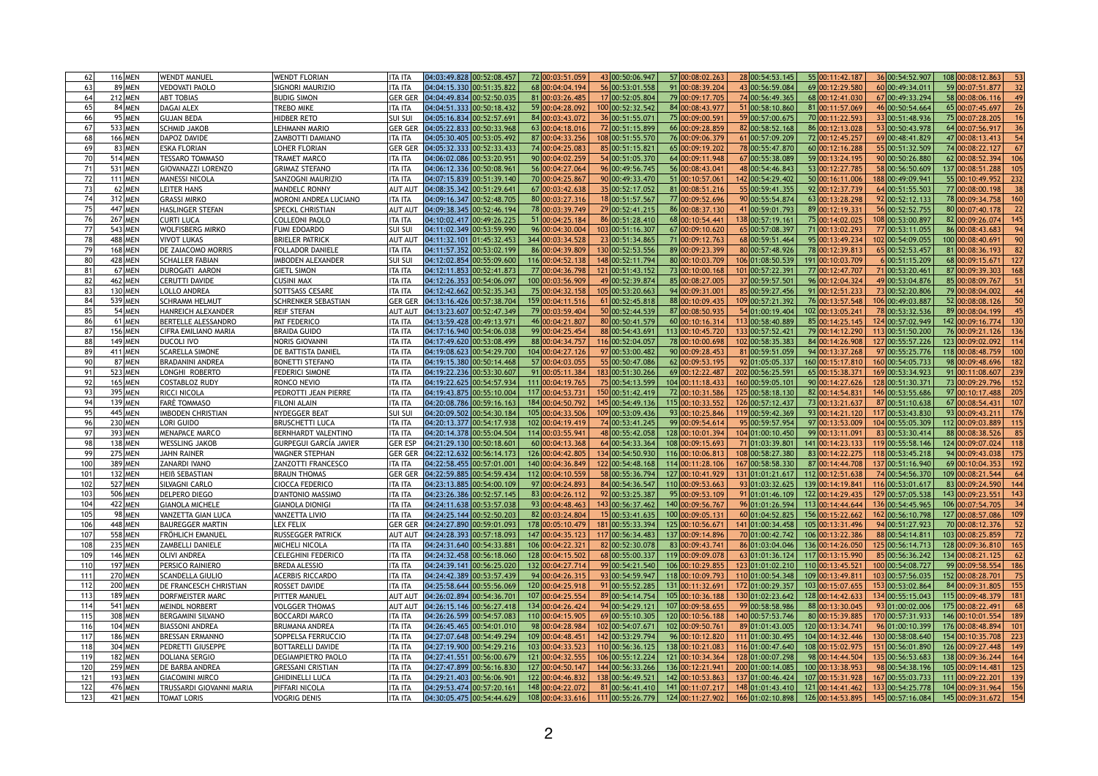|                 | <b>116 MEN</b>     | WENDT MANUEL                                   | <b>WENDT FLORIAN</b>           | ITA ITA                          | 04:03:49.828 00:52:08.457                                                                                   | 72 00:03:51.059  | 43 00:50:06.947  | 57 00:08:02.263    | 28 00:54:53.145  | 55 00:11:42.187<br>36 00:54:52.907                                                                                                                                                                                                                                                                                                                                                   | 108 00:08:12.863        |
|-----------------|--------------------|------------------------------------------------|--------------------------------|----------------------------------|-------------------------------------------------------------------------------------------------------------|------------------|------------------|--------------------|------------------|--------------------------------------------------------------------------------------------------------------------------------------------------------------------------------------------------------------------------------------------------------------------------------------------------------------------------------------------------------------------------------------|-------------------------|
|                 | 89 MEN             | VEDOVATI PAOLO                                 | <b>SIGNORI MAURIZIO</b>        | ITA ITA                          | 04:04:15.330 00:51:35.822                                                                                   | 68 00:04:04.194  | 56 00:53:01.558  | 91 00:08:39.204    | 43 00:56:59.084  | 60 00:49:34.011<br>69 00:12:29.58                                                                                                                                                                                                                                                                                                                                                    | 59 00:07:51.877         |
|                 | 212 MEN            | <b>ABT TOBIAS</b>                              | <b>BUDIG SIMON</b>             | <b>GER GER</b>                   | $04:04:49.834$ 00:52:50.035                                                                                 | 81 00:03:26.485  | 17 00:52:05.804  | 79 00:09:17.705    | 74 00:56:49.365  | 67 00:49:33.294<br>68 00:12:41.030                                                                                                                                                                                                                                                                                                                                                   | 58 00:08:06.116         |
|                 | 84 MEN             | <b>DAGAI ALEX</b>                              | <b>TREBO MIKE</b>              | ITA ITA                          | 04:04:51.333 00:50:18.432                                                                                   | 59 00:04:28.092  | 100 00:52:32.542 | 84 00:08:43.977    | 51 00:58:10.860  | 81 00:11:57.069<br>46 00:50:54.664                                                                                                                                                                                                                                                                                                                                                   | 65 00:07:45.697         |
|                 | 95 MEN             | <b>GUJAN BEDA</b>                              | HIDBER RETO                    | <b>SUI SUI</b>                   | 04:05:16.834 00:52:57.691                                                                                   | 84 00:03:43.07   | 36 00:51:55.071  | 75 00:09:00.59     | 59 00:57:00.675  | 70 00:11:22.593<br>33 00:51:48.936                                                                                                                                                                                                                                                                                                                                                   | 75 00:07:28.205         |
|                 | 533 MEN            | <b>SCHMID JAKOB</b>                            | <b>LEHMANN MARIO</b>           | <b>GER GEF</b>                   | 04:05:22.833 00:50:33.968                                                                                   | 63 00:04:18.01   | 72 00:51:15.899  | 66 00:09:28.859    | 82 00:58:52.168  | 53 00:50:43.978<br>86 00:12:13.028                                                                                                                                                                                                                                                                                                                                                   | 64 00:07:56.917         |
|                 | 166 MEN            | DAPOZ DAVIDE                                   | <b>ZAMBOTTI DAMIANO</b>        | ITA ITA                          | 04:05:30.405 00:53:05.492                                                                                   | 87 00:04:33.256  | 108 00:51:55.570 | 76 00:09:06.379    | 61 00:57:09.209  | 72 00:12:45.257<br>69 00:48:41.829                                                                                                                                                                                                                                                                                                                                                   | 47 00:08:13.413         |
|                 | 83 MEN             | <b>ESKA FLORIAN</b>                            | LOHER FLORIAN                  | <b>GER GER</b>                   | 04:05:32.333 00:52:33.433                                                                                   | 74 00:04:25.083  | 85 00:51:15.821  | 65 00:09:19.202    | 78 00:55:47.870  | 55 00:51:32.509<br>60 00:12:16.288                                                                                                                                                                                                                                                                                                                                                   | 74 00:08:22.127         |
|                 | 514 MEN            | <b>TESSARO TOMMASO</b>                         | <b>TRAMET MARCO</b>            | ITA ITA                          | 04:06:02.086 00:53:20.951                                                                                   | 90 00:04:02.259  | 54 00:51:05.370  | 64 00:09:11.948    | 67 00:55:38.089  | 59 00:13:24.195<br>90 00:50:26.880                                                                                                                                                                                                                                                                                                                                                   | 62 00:08:52.394         |
|                 | 531 MEN            | <b>GIOVANAZZI LORENZO</b>                      | <b>GRIMAZ STEFANO</b>          | ITA ITA                          | 04:06:12.336 00:50:08.961                                                                                   | 56 00:04:27.064  | 96 00:49:56.745  | 56 00:08:43.04     | 48 00:54:46.843  | 53 00:12:27.78<br>58 00:56:50.609                                                                                                                                                                                                                                                                                                                                                    | 137 00:08:51.288        |
|                 |                    | <b>MANESSI NICOLA</b>                          |                                | <b>ITA ITA</b>                   | 04:07:15.839 00:51:39.140                                                                                   | 70 00:04:25.867  | 90 00:49:33.470  |                    | 142 00:54:29.402 | 188 00:49:09.941                                                                                                                                                                                                                                                                                                                                                                     | 55 00:10:49.952         |
|                 | 111 MEN            |                                                | <b>SANZOGNI MAURIZIO</b>       |                                  |                                                                                                             |                  |                  | 51 00:10:57.061    |                  | 50 00:16:11.006                                                                                                                                                                                                                                                                                                                                                                      |                         |
|                 | $62$ MEN           | LEITER HANS                                    | <b>MANDELC RONNY</b>           | <b>AUT AU</b>                    | 04:08:35.342 00:51:29.641                                                                                   | 67 00:03:42.638  | 35 00:52:17.052  | 81 00:08:51.216    | 55 00:59:41.355  | 92 00:12:37.739<br>64 00:51:55.503                                                                                                                                                                                                                                                                                                                                                   | 77 00:08:00.198         |
|                 | 312 MEN            | <b>GRASSI MIRKO</b>                            | <b>MORONI ANDREA LUCIANO</b>   | ITA ITA                          | 04:09:16.347 00:52:48.705                                                                                   | 80 00:03:27.316  | 18 00:51:57.567  | 77 00:09:52.696    | 90 00:55:54.874  | 92 00:52:12.133<br>63 00:13:28.298                                                                                                                                                                                                                                                                                                                                                   | 78 00:09:34.758         |
|                 | 447 MEN            | <b>HASLINGER STEFAN</b>                        | <b>SPECKL CHRISTIAN</b>        | <b>AUT AU</b>                    | 04:09:38.345 00:52:46.194                                                                                   | 78 00:03:39.749  | 29 00:52:41.215  | 86 00:08:37.130    | 1 00:59:01.793   | 56 00:52:52.755<br>89 00:12:19.33                                                                                                                                                                                                                                                                                                                                                    | 80 00:07:40.178         |
|                 | <b>267 MEN</b>     | <b>CURTI LUCA</b>                              | <b>COLLEONI PAOLO</b>          | ITA ITA                          | 04:10:02.417 00:49:26.225                                                                                   | 51 00:04:25.184  | 86 00:51:28.410  | 68 00:10:54.441    | 138 00:57:19.161 | 75 00:14:02.025<br>108 00:53:00.897                                                                                                                                                                                                                                                                                                                                                  | 82 00:09:26.074         |
|                 | 543 MEN            | <b>WOLFISBERG MIRKO</b>                        | <b>FUMI EDOARDO</b>            | <b>SUI SU</b>                    | 04:11:02.349 00:53:59.990                                                                                   | 96 00:04:30.004  | 103 00:51:16.307 | 67 00:09:10.620    | 65 00:57:08.397  | 71 00:13:02.293<br>77 00:53:11.055                                                                                                                                                                                                                                                                                                                                                   | 86 00:08:43.683         |
|                 | 488 MEN            | <b>VIVOT LUKAS</b>                             | <b>BRIELER PATRICK</b>         | <b>AUT AUT</b>                   | 04:11:32.101 01:45:32.453                                                                                   | 344 00:03:34.528 | 23 00:51:34.865  | 71 00:09:12.763    | 68 00:59:51.464  | 102 00:54:09.055<br>95 00:13:49.234                                                                                                                                                                                                                                                                                                                                                  | 100 00:08:40.691        |
|                 | 168 MEN            | <b>DE ZAIACOMO MORRIS</b>                      | <b>FOLLADOR DANIELE</b>        | ITA ITA                          | 04:11:57.352 00:53:02.199                                                                                   | 86 00:04:39.809  | 130 00:52:53.556 | 89 00:09:23.399    | 80 00:57:48.926  | 65 00:52:53.457<br>78 00:12:39.81                                                                                                                                                                                                                                                                                                                                                    | 81 00:08:36.193         |
|                 | 428 MEN            | <b>SCHALLER FABIAN</b>                         | <b>IMBODEN ALEXANDER</b>       | <b>SUI SU</b>                    | 04:12:02.854 00:55:09.600                                                                                   | 116 00:04:52.138 | 148 00:52:11.794 | 80 00:10:03.709    | 106 01:08:50.539 | 191 00:10:03.709<br>6 00:51:15.209                                                                                                                                                                                                                                                                                                                                                   | 68 00:09:15.671<br>127  |
|                 | 67 MEN             | DUROGATI AARON                                 | <b>GIETL SIMON</b>             | ITA ITA                          | 04:12:11.853 00:52:41.873                                                                                   | 77 00:04:36.798  | 121 00:51:43.152 | 73 00:10:00.168    | 101 00:57:22.391 | 77 00:12:47.707<br>71 00:53:20.461                                                                                                                                                                                                                                                                                                                                                   | 87 00:09:39.303<br>168  |
|                 | 462 MEN            | <b>CERUTTI DAVIDE</b>                          | <b>CUSINI MAX</b>              | ITA ITA                          | 04:12:26.353 00:54:06.097                                                                                   | 100 00:03:56.909 | 49 00:52:39.874  | 85 00:08:27.005    | 37 00:59:57.501  | 96 00:12:04.324<br>49 00:53:04.876                                                                                                                                                                                                                                                                                                                                                   | 85 00:08:09.767         |
|                 | 130   MEN          | LOLLO ANDREA                                   | SOTTSASS CESARE                | <b>TA ITA</b>                    | 04:12:42.662 00:52:35.343                                                                                   | 75 00:04:32.158  | 105 00:53:20.663 | 94 00:09:31.001    | 85 00:59:27.456  | 91 00:12:51.233<br>73 00:52:20.806                                                                                                                                                                                                                                                                                                                                                   | 79 00:08:04.002         |
|                 | 539 MEN            | <b>SCHRAMM HELMUT</b>                          | <b>SCHRENKER SEBASTIAN</b>     | <b>GER GER</b>                   | 04:13:16.426 00:57:38.704                                                                                   | 159 00:04:11.516 | 61 00:52:45.818  | 88 00:10:09.435    | 109 00:57:21.392 | 106 00:49:03.887<br>76 00:13:57.548                                                                                                                                                                                                                                                                                                                                                  | 52 00:08:08.126         |
|                 | $54$ MEN           | <b>HANREICH ALEXANDER</b>                      | <b>REIF STEFAN</b>             | <b>AUT AUT</b>                   | 04:13:23.607 00:52:47.349                                                                                   | 79 00:03:59.404  | 50 00:52:44.539  | 87 00:08:50.935    | 54 01:00:19.404  | 78 00:53:32.536<br>102 00:13:05.241                                                                                                                                                                                                                                                                                                                                                  | 89 00:08:04.199         |
|                 | $61$ MEN           | <b>BERTELLE ALESSANDRO</b>                     | PAT FEDERICO                   | ITA ITA                          | 04:13:59.428 00:49:13.971                                                                                   | 46 00:04:21.807  | 80 00:50:41.579  | 60 00:10:16.314    | 113 00:58:40.889 | 85 00:14:25.145<br>124 00:57:02.949                                                                                                                                                                                                                                                                                                                                                  | 142 00:09:16.774        |
|                 | 156 MEN            | <b>CIFRA EMILIANO MARIA</b>                    | <b>BRAIDA GUIDO</b>            | <b>TA ITA</b>                    | 04:17:16.940 00:54:06.038                                                                                   | 99 00:04:25.454  | 88 00:54:43.691  | 113 00:10:45.720   | 133 00:57:52.421 | 79 00:14:12.290<br>113 00:51:50.200                                                                                                                                                                                                                                                                                                                                                  | 76 00:09:21.126<br>136  |
|                 | 149 MEN            | <b>DUCOLI IVO</b>                              | <b>NORIS GIOVANNI</b>          | <b>TA ITA</b>                    | 04:17:49.620 00:53:08.499                                                                                   | 88 00:04:34.757  | 116 00:52:04.057 | 78 00:10:00.698    | 102 00:58:35.383 | 127 00:55:57.226<br>84 00:14:26.908                                                                                                                                                                                                                                                                                                                                                  | 123 00:09:02.092<br>114 |
|                 | 411 MEN            | <b>SCARELLA SIMONE</b>                         | DE BATTISTA DANIEL             | <b>TA ITA</b>                    | 04:19:08.623 00:54:29.700                                                                                   | 104 00:04:27.126 | 97 00:53:00.482  | 90 00:09:28.453    | 81 00:59:51.059  | 94 00:13:37.268<br>97 00:55:25.776                                                                                                                                                                                                                                                                                                                                                   | 118 00:08:48.759        |
|                 | 87 MEN             | <b>BRADANINI ANDREA</b>                        | <b>BONETTI STEFANO</b>         | ITA ITA                          | 04:19:15.380 00:50:14.468                                                                                   | 57 00:04:03.055  | 55 00:50:47.086  | 62 00:09:53.195    | 92 01:05:05.337  | 160 00:54:05.733<br>160 00:15:17.81                                                                                                                                                                                                                                                                                                                                                  | 98 00:09:48.696<br>182  |
|                 | 523 MEN            | LONGHI ROBERTO                                 | <b>FEDERICI SIMONE</b>         | <b>ITA ITA</b>                   | 04:19:22.236 00:53:30.607                                                                                   | 91 00:05:11.384  | 183 00:51:30.266 | 69 00:12:22.487    | 202 00:56:25.591 | 65 00:15:38.371<br>169 00:53:34.923                                                                                                                                                                                                                                                                                                                                                  | 91 00:11:08.607<br>239  |
|                 | <b>165 MEN</b>     | COSTABLOZ RUDY                                 | <b>RONCO NEVIO</b>             | <b>TA ITA</b>                    | 04:19:22.625 00:54:57.934                                                                                   | 111 00:04:19.765 | 75 00:54:13.599  | 104 00:11:18.433   | 160 00:59:05.101 | 90 00:14:27.626<br>128 00:51:30.37                                                                                                                                                                                                                                                                                                                                                   | 73 00:09:29.796<br>152  |
|                 | 395 MEN            | <b>RICCI NICOLA</b>                            | PEDROTTI JEAN PIERRE           | <b>TA ITA</b>                    | 04:19:43.875 00:55:10.004                                                                                   | 117 00:04:53.73  | 150 00:51:42.419 | 72 00:10:31.586    | 125 00:58:18.130 | 82 00:14:54.831<br>146 00:53:55.686                                                                                                                                                                                                                                                                                                                                                  | 97 00:10:17.488<br>205  |
|                 | 139 MEN            | <b>FARÈ TOMMASO</b>                            | <b>FILONI ALAIN</b>            | ITA ITA                          | 04:20:08.786 00:59:16.163                                                                                   | 184 00:04:50.792 | 145 00:54:49.136 | 115 00:10:33.552   | 126 00:57:12.437 | 87 00:51:10.638<br>73 00:13:21.637                                                                                                                                                                                                                                                                                                                                                   | 67 00:08:54.431<br>107  |
|                 | 445 MEN            | <b>IMBODEN CHRISTIAN</b>                       | NYDEGGER BEAT                  | SUI SU                           | 04:20:09.502 00:54:30.184                                                                                   | 105 00:04:33.506 | 109 00:53:09.436 | 93 00:10:25.846    | 119 00:59:42.369 | 93 00:14:21.120<br>117 00:53:43.830                                                                                                                                                                                                                                                                                                                                                  | 93 00:09:43.211<br>176  |
|                 | 230 MEN            | LORI GUIDO                                     | <b>BRUSCHETTI LUCA</b>         | <b>ITA ITA</b>                   | 04:20:13.377 00:54:17.938                                                                                   | 102 00:04:19.41  | 74 00:53:41.245  | 99 00:09:54.614    | 95 00:59:57.954  | 97 00:13:53.009<br>104 00:55:05.309                                                                                                                                                                                                                                                                                                                                                  | 112 00:09:03.889        |
|                 | 393 MEN            | <b>MENAPACE MARCO</b>                          | <b>BERNHARDT VALENTINO</b>     | ITA ITA                          | 04:20:14.378 00:55:04.504                                                                                   | 114 00:03:55.94  | 48 00:55:42.058  | 128 00:10:01.394   | 104 01:00:10.450 | 83 00:53:30.414<br>99 00:13:11.091                                                                                                                                                                                                                                                                                                                                                   | 88 00:08:38.526         |
|                 | 138 MEN            | <b>WESSLING JAKOB</b>                          | <b>GURPEGUI GARCÍA JAVIER</b>  | <b>GER ESP</b>                   | 04:21:29.130 00:50:18.601                                                                                   | 60 00:04:13.368  | 64 00:54:33.364  | 108 00:09:15.693   | 71 01:03:39.801  | 141 00:14:23.133<br>119 00:55:58.146                                                                                                                                                                                                                                                                                                                                                 | 124 00:09:07.024        |
|                 | <b>275 MEN</b>     | <b>JAHN RAINER</b>                             | <b>WAGNER STEPHAN</b>          | <b>GER GER</b>                   | 04:22:12.632 00:56:14.173                                                                                   | 126 00:04:42.805 | 134 00:54:50.930 | 116 00:10:06.813   | 108 00:58:27.380 | 83 00:14:22.275<br>118 00:53:45.218                                                                                                                                                                                                                                                                                                                                                  | 94 00:09:43.038         |
| 10 <sub>0</sub> | 389 MEN            | <b>ZANARDI IVANO</b>                           | <b>ZANZOTTI FRANCESCO</b>      | ITA ITA                          | 04:22:58.455 00:57:01.001                                                                                   | 140 00:04:36.849 |                  |                    |                  |                                                                                                                                                                                                                                                                                                                                                                                      |                         |
| $10^{\circ}$    | 132 MEN            | <b>HEIB SEBASTIAN</b>                          | <b>BRAUN THOMAS</b>            |                                  |                                                                                                             |                  |                  |                    |                  |                                                                                                                                                                                                                                                                                                                                                                                      |                         |
|                 | 527 MEN            |                                                |                                |                                  |                                                                                                             |                  | 122 00:54:48.168 | 114 00:11:28.106   | 167 00:58:58.330 | 137 00:51:16.940<br>87 00:14:44.708                                                                                                                                                                                                                                                                                                                                                  | 69 00:10:04.353         |
|                 |                    |                                                |                                | <b>GER GEI</b>                   | 04:22:59.885 00:54:59.434                                                                                   | 112 00:04:10.559 | 58 00:55:36.794  | 127 00:10:41.929   | 131 01:01:21.617 | 74 00:54:56.370<br>112 00:12:51.638                                                                                                                                                                                                                                                                                                                                                  | 109 00:08:21.544        |
|                 |                    | SILVAGNI CARLO                                 | <b>CIOCCA FEDERICO</b>         | ITA ITA                          | 04:23:13.885 00:54:00.109                                                                                   | 97 00:04:24.893  | 84 00:54:36.547  | 110 00:09:53.663   | 93 01:03:32.625  | 139 00:14:19.841<br>116 00:53:01.617                                                                                                                                                                                                                                                                                                                                                 | 83 00:09:24.590         |
|                 | 506 MEN            | DELPERO DIEGO                                  | D'ANTONIO MASSIMO              | <b>TA ITA</b>                    | 04:23:26.386 00:52:57.145                                                                                   | 83 00:04:26.112  | 92 00:53:25.387  | 95 00:09:53.109    | 91 01:01:46.109  | 129 00:57:05.538<br>122 00:14:29.435                                                                                                                                                                                                                                                                                                                                                 | 143 00:09:23.551        |
|                 | 422 MEN            | <b>GIANOLA MICHELE</b>                         | <b>GIANOLA DIONIGI</b>         | ITA ITA                          | 04:24:11.638 00:53:57.038                                                                                   | 93 00:04:48.463  | 143 00:56:37.462 | 140 00:09:56.767   | 96 01:01:26.594  | 136 00:54:45.965<br>113 00:14:44.644                                                                                                                                                                                                                                                                                                                                                 | 106 00:07:54.705        |
| 105             | 98 MEN             | VANZETTA GIAN LUCA                             | <b>VANZETTA LIVIO</b>          | ITA ITA                          | 04:24:25.144 00:52:50.203                                                                                   | 82 00:03:24.804  | 15 00:53:41.635  | 100 00:09:05.131   | 60 01:04:52.825  | 156 00:15:22.662<br>162 00:56:10.798                                                                                                                                                                                                                                                                                                                                                 | 127 00:08:57.086        |
|                 | 448 MEN            | <b>BAUREGGER MARTIN</b>                        | <b>LEX FELIX</b>               | <b>GER GER</b>                   | 04:24:27.890 00:59:01.093                                                                                   | 178 00:05:10.479 | 181 00:55:33.394 | 125 00:10:56.671   | 141 01:00:34.458 | 94 00:51:27.923<br>105 00:13:31.496                                                                                                                                                                                                                                                                                                                                                  | 70 00:08:12.376         |
| 10              | 558 MEN            | <b>FRÖHLICH EMANUEL</b>                        | <b>RUSSEGGER PATRICK</b>       | <b>AUT AUT</b>                   | 04:24:28.393 00:57:18.093                                                                                   | 147 00:04:35.123 | 117 00:56:34.483 | 137 00:09:14.896   | 70 01:00:42.742  | 106 00:13:22.386<br>88 00:54:14.81                                                                                                                                                                                                                                                                                                                                                   | 103 00:08:25.859        |
|                 | 235 MEN            | <b>ZAMBELLI DANIELE</b>                        | <b>MICHELI NICOLA</b>          | <b>ITA ITA</b>                   | 04:24:31.640 00:54:33.881                                                                                   | 106 00:04:22.32  | 82 00:52:30.078  | 83 00:09:43.741    | 86 01:03:04.046  | 125 00:56:14.713<br>136 00:14:26.050                                                                                                                                                                                                                                                                                                                                                 | 128 00:09:36.810        |
| 109             | 146 MEN            | <b>OLIVI ANDREA</b>                            | <b>CELEGHINI FEDERICO</b>      | <b>TA ITA</b>                    | 04:24:32.458 00:56:18.060                                                                                   | 128 00:04:15.502 | 68 00:55:00.337  | 119 00:09:09.078   | 63 01:01:36.124  | 85 00:56:36.242<br>117 00:13:15.990                                                                                                                                                                                                                                                                                                                                                  | 134 00:08:21.125        |
| 110             | <b>197 MEN</b>     | <b>PERSICO RAINIERO</b>                        | <b>BREDA ALESSIO</b>           | ITA ITA                          | 04:24:39.141 00:56:25.020                                                                                   | 132 00:04:27.714 | 99 00:54:21.540  | 106 00:10:29.855   | 123 01:01:02.210 | 100 00:54:08.727<br>110 00:13:45.521                                                                                                                                                                                                                                                                                                                                                 | 99 00:09:58.554         |
| 11'             | <b>270 MEN</b>     | <b>SCANDELLA GIULIO</b>                        | <b>ACERBIS RICCARDO</b>        | <b>TA ITA</b>                    | 04:24:42.389 00:53:57.439                                                                                   | 94 00:04:26.31   | 93 00:54:59.947  | 118 00:10:09.793   | 110 01:00:54.348 | 103 00:57:56.035<br>109 00:13:49.81                                                                                                                                                                                                                                                                                                                                                  | 152 00:08:28.701        |
| 112             | 200 MEN            | <b>DE FRANCESCH CHRISTIAN</b>                  | <b>ROSSET DAVIDE</b>           | <b>ITA ITA</b>                   | 04:25:58.644 00:55:56.069                                                                                   | 120 00:04:25.918 | 91 00:55:52.285  | 131 00:11:32.69    | 172 01:00:29.357 | 153 00:53:02.864<br>103 00:15:07.655                                                                                                                                                                                                                                                                                                                                                 | 84 00:09:31.805         |
| 113             | 189 MEN            | DORFMEISTER MARC                               | PITTER MANUEL                  | <b>AUT AU</b>                    | 04:26:02.894 00:54:36.701                                                                                   | 107 00:04:25.554 | 89 00:54:14.754  | 105 00:10:36.188   | 130 01:02:23.642 | 128 00:14:42.633<br>134 00:55:15.043                                                                                                                                                                                                                                                                                                                                                 | 115 00:09:48.379<br>181 |
| 114             | 541 MEN            | MEINDL NORBERT                                 | <b>VOLGGER THOMAS</b>          | <b>AUT AUT</b>                   | $04:26:15.146$ 00:56:27.418                                                                                 | 134 00:04:26.424 | 94 00:54:29.121  | 107 00:09:58.655   | 99 00:58:58.986  | 93 01:00:02.006<br>88 00:13:30.045                                                                                                                                                                                                                                                                                                                                                   | 175 00:08:22.491        |
| 115             | 308 MEN            | <b>BERGAMINI SILVANO</b>                       | <b>BOCCARDI MARCO</b>          | <b>TA ITA</b>                    | 04:26:26.599 00:54:57.083                                                                                   | 110 00:04:15.905 | 69 00:55:10.305  | 120 00:10:56.188   | 140 00:57:53.746 | 170 00:57:31.933<br>80 00:15:39.885                                                                                                                                                                                                                                                                                                                                                  | 146 00:10:01.554        |
| 116             | 104 MEN            | <b>BIASSONI ANDREA</b>                         | <b>BRUMANA ANDREA</b>          | ITA ITA                          | 04:26:45.465 00:54:01.010                                                                                   | 98 00:04:28.984  | 102 00:54:07.671 | 102 00:09:50.761   | 89 01:01:43.005  | 120 00:13:34.741<br>96 01:00:10.399                                                                                                                                                                                                                                                                                                                                                  | 176 00:08:48.894        |
| 117             | 186 MEN            | <b>BRESSAN ERMANNO</b>                         | SOPPELSA FERRUCCIO             | <b>TA ITA</b>                    | 04:27:07.648 00:54:49.294                                                                                   | 109 00:04:48.45  | 142 00:53:29.794 | 96 00:10:12.820    | 111 01:00:30.495 | 104 00:14:32.446<br>130 00:58:08.640                                                                                                                                                                                                                                                                                                                                                 | 154 00:10:35.708<br>223 |
| 118             | 304 MEN            | <b>PEDRETTI GIUSEPPE</b>                       | <b>BOTTARELLI DAVIDE</b>       | ITA ITA                          | 04:27:19.900 00:54:29.216                                                                                   | 103 00:04:33.523 | 110 00:56:36.125 | 138 00:10:21.083   | 116 01:00:47.640 | 108 00:15:02.975<br>151 00:56:01.890                                                                                                                                                                                                                                                                                                                                                 | 126 00:09:27.448        |
| 119             | <b>182 MEN</b>     | DOLIANA SERGIO                                 | <b>DEGIAMPIETRO PAOLO</b>      | <b>TA ITA</b>                    | 04:27:41.551 00:56:00.679                                                                                   | 121 00:04:32.555 | 106 00:55:12.224 | 121 00:10:34.364   | 128 01:00:07.298 | 135 00:56:53.683<br>98 00:14:44.504                                                                                                                                                                                                                                                                                                                                                  | 138 00:09:36.244<br>164 |
| 120             | <b>259 MEN</b>     | <b>DE BARBA ANDREA</b>                         | <b>GRESSANI CRISTIAN</b>       | ITA ITA                          | 04:27:47.899 00:56:16.830                                                                                   | 127 00:04:50.147 | 144 00:56:33.266 | 136 00:12:21.941   | 200 01:00:14.085 | 98 00:54:38.196<br>100 00:13:38.953                                                                                                                                                                                                                                                                                                                                                  | 105 00:09:14.481        |
| 121             | 193 MEN            | <b>GIACOMINI MIRCO</b>                         | <b>GHIDINELLI LUCA</b>         | <b>ITA ITA</b>                   | 04:29:21.403 00:56:06.901                                                                                   | 122 00:04:46.832 | 138 00:56:49.521 | $142$ 00:10:53.863 | 137 01:00:46.424 | 107 00:15:31.928 <br>167 00:55:03.733                                                                                                                                                                                                                                                                                                                                                | 111 00:09:22.201        |
| 122<br>123      | 476 MEN<br>421 MEN | TRUSSARDI GIOVANNI MARIA<br><b>TOMAT LORIS</b> | PIFFARI NICOLA<br>Vogrig Denis | <b>ITA ITA</b><br><b>ITA ITA</b> | $\vert 04:29:53.474 \vert 00:57:20.161 \vert 148 \vert 00:04:22.072 \vert$<br>$04:30:05.475$ $00:54:44.629$ |                  |                  |                    |                  | 81 $\vert$ 00:56:41.410 $\vert$ 141 $\vert$ 00:11:07.217 $\vert$ 148 $\vert$ 01:01:43.410 $\vert$ 121 $\vert$ 00:14:41.462 $\vert$ 133 $\vert$ 00:54:25.778 $\vert$ 104 $\vert$ 00:09:31.964 $\vert$ 156 $\vert$<br>_108  <mark>00:04:33.616  111 </mark> 00:55:26.779  124  <mark>00:11:27.902  166 01:02:10.898  126 00:14:53.895  145 00:57:16.084  145 00:09:31.672  154 </mark> |                         |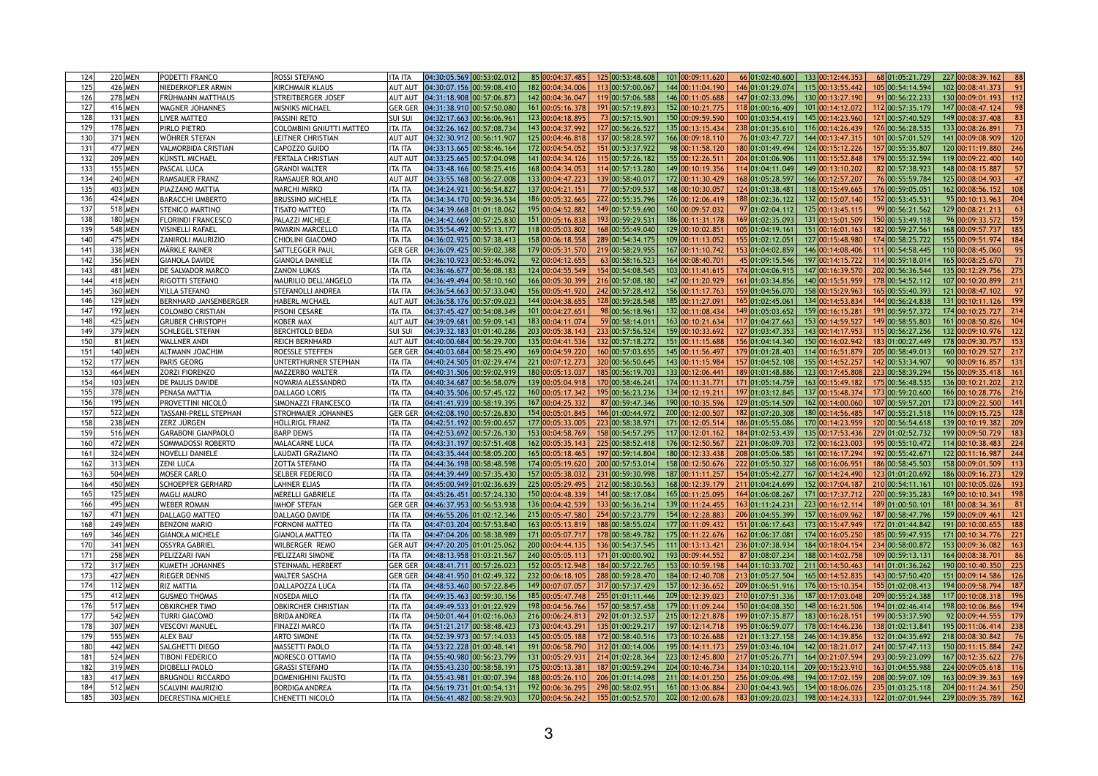|     | 220 MEN            | <b>PODETTI FRANCO</b>        | <b>ROSSI STEFANO</b>            | 85 00:04:37.485<br>101 00:09:11.620<br>133 00:12:44.353<br>227 00:08:39.162<br>125 00:53:48.608<br>68 01:05:21.729<br>66 01:02:40.600<br>ITA ITA                                                                         |
|-----|--------------------|------------------------------|---------------------------------|--------------------------------------------------------------------------------------------------------------------------------------------------------------------------------------------------------------------------|
|     | 426 MEN            | NIEDERKOFLER ARMIN           | <b>KIRCHMAIR KLAUS</b>          | 182 00:04:34.006<br>04:30:07.156 00:59:08.410<br>113 00:57:00.067<br>146 01:01:29.074<br>115 00:13:55.442<br>105 00:54:14.594<br>102 00:08:41.373<br>144 00:11:04.190<br><b>AUT AUT</b>                                  |
| 126 | <b>278 MEN</b>     | <b>FRÜHMANN MATTHÄUS</b>     | <b>STREITBERGER JOSEF</b>       | 130 00:13:27.190<br>04:31:18.908 00:57:06.873<br>142 00:04:36.04<br>119 00:57:06.588<br>146 00:11:05.688<br>147 01:02:33.096<br>91 00:56:22.233<br>130 00:09:01.193<br><b>AUT AUT</b>                                    |
| 127 | 416 MEN            | <b>WAGNER JOHANNES</b>       | <b>MISNIKS MICHAEL</b>          | 147 00:08:47.124<br>04:31:38.910 00:57:50.080<br>161 00:05:16.378<br>191 00:57:19.893<br>152 00:10:21.775<br>118 01:00:16.409<br>101 00:14:12.072<br>112 00:57:35.179<br><b>GER GER</b>                                  |
|     |                    |                              |                                 | 73 00:57:15.901<br>121 00:57:40.529<br>149 00:08:37.408                                                                                                                                                                  |
| 128 | 131 MEN            | <b>LIVER MATTEO</b>          | <b>PASSINI RETO</b>             | 04:32:17.663 00:56:06.961<br>123 00:04:18.895<br>150 00:09:59.59<br>100 01:03:54.419<br>145 00:14:23.960<br><b>SUI SUI</b>                                                                                               |
|     | 178   MEN          | <b>PIRLO PIETRO</b>          | <b>COLOMBINI GNIUTTI MATTEO</b> | 143 00:04:37.992<br>127 00:56:26.527<br>135 00:13:15.434<br>126 00:56:28.535<br>133 00:08:26.891<br>04:32:26.162 00:57:08.734<br>238 01:01:35.610<br>116 00:14:26.439<br><b>ITA ITA</b>                                  |
|     | 371 MEN            | WÖHRER STEFAN                | <b>LEITNER CHRISTIAN</b>        | 04:32:30.912 00:56:11.907<br>137 00:58:28.597<br>166 00:09:18.11<br>141 00:09:08.909<br>125 00:04:46.818<br>76 01:03:47.727<br>144 00:13:47.315<br>101 00:57:01.529<br><b>AUT AUT</b>                                    |
| 131 | 477 MEN            | <b>VALMORBIDA CRISTIAN</b>   | CAPOZZO GUIDO                   | 172 00:04:54.052<br>98 00:11:58.120<br>124 00:15:12.226<br>157 00:55:35.807<br>120 00:11:19.880<br>04:33:13.665 00:58:46.164<br>151 00:53:37.922<br>180 01:01:49.494<br><b>TA ITA</b>                                    |
| 132 | 209 MEN            | KÜNSTL MICHAEL               | <b>FERTALA CHRISTIAN</b>        | 04:33:25.665 00:57:04.098<br>115 00:57:26.182<br>155 00:12:26.51<br>111 00:15:52.848<br>179 00:55:32.594<br>119 00:09:22.400<br>141 00:04:34.126<br>204 01:01:06.906<br><b>AUT AUT</b>                                   |
|     | 155 MEN            | <b>PASCAL LUCA</b>           | <b>GRANDI WALTER</b>            | 82 00:57:38.923<br>148 00:08:15.887<br>04:33:48.166 00:58:25.416<br>168 00:04:34.053<br>114 00:57:13.280<br>149 00:10:19.356<br>149 00:13:10.202<br>114 01:04:11.049<br>ITA ITA                                          |
| 134 | 240 MEN            | RAMSAUER FRANZ               | <b>RAMSAUER ROLAND</b>          | 04:33:55.168 00:56:27.008<br>133 00:04:47.223<br>139 00:58:40.017<br>172 00:11:30.429<br>168 01:05:28.597<br>166 00:12:57.207<br>76 00:55:59.784<br>125 00:08:04.903<br><b>AUT AUT</b>                                   |
| 135 | 403 MEN            | <b>PIAZZANO MATTIA</b>       | <b>MARCHI MIRKO</b>             | 137 00:04:21.15<br>77 00:57:09.537<br>176 00:59:05.051<br>162 00:08:56.152<br>04:34:24.921 00:56:54.827<br>148 00:10:30.057<br>124 01:01:38.481<br>118 00:15:49.665<br><b>TA ITA</b>                                     |
| 136 | 424 MEN            | <b>BARACCHI UMBERTO</b>      | <b>BRUSSINO MICHELE</b>         | 04:34:34.170 00:59:36.534<br>186 00:05:32.66<br>222 00:55:35.796<br>126 00:12:06.419<br>188 01:02:36.122<br>132 00:15:07.140<br>152 00:53:45.531<br>95 00:10:13.963<br><b>ITA ITA</b>                                    |
| 137 | 518 MEN            | <b>STENICO MARTINO</b>       | <b>TISATO MATTEO</b>            | 195 00:04:52.88<br>149 00:57:59.690<br>99 00:56:21.562<br>129 00:08:21.213<br>04:34:39.668 01:01:18.062<br>160 00:09:57.032<br>97 01:02:04.112<br>125 00:13:45.115<br><b>TA ITA</b>                                      |
| 138 | 180 MEN            | <b>FLORINDI FRANCESCO</b>    | <b>PALAZZI MICHELE</b>          | 04:34:42.669 00:57:25.830<br>193 00:59:29.531<br>186 00:11:31.178<br>150 00:53:49.118<br>96 00:09:33.572<br><b>ITA ITA</b><br>151 00:05:16.838<br>169 01:02:35.093<br>131 00:15:01.509                                   |
|     | 548 MEN            | <b>VISINELLI RAFAEL</b>      | <b>PAVARIN MARCELLO</b>         | 118 00:05:03.802<br>182 00:59:27.561<br>168 00:09:57.737<br>168 00:55:49.040<br>129 00:10:02.85<br>151 00:16:01.163<br>105 01:04:19.161<br><b>TA ITA</b>                                                                 |
| 140 | 475 MEN            | ZANIROLI MAURIZIO            | <b>CHIOLINI GIACOMO</b>         | 109 00:11:13.052<br>155 00:09:51.974<br>04:36:02.925 00:57:38.413<br>158 00:06:18.558<br>289 00:54:34.175<br>127 00:15:48.980<br>174 00:58:25.722<br>155 01:02:12.051<br><b>ITA ITA</b>                                  |
|     |                    |                              |                                 | 110 00:08:45.060                                                                                                                                                                                                         |
| 141 | 338 MEN            | MÄRKLE RAINER                | SATTLEGGER PAUL                 | 04:36:09.425 00:59:02.388<br>179 00:05:31.57<br>219 00:58:29.955<br>167 00:11:10.742<br>153 01:04:02.859<br>146 00:14:08.406<br>111 00:54:58.445<br><b>GER GE</b>                                                        |
| 142 | 356 MEN            | <b>GIANOLA DAVIDE</b>        | <b>GIANOLA DANIELE</b>          | 04:36:10.923 00:53:46.092<br>92 00:04:12.655<br>63 00:58:16.523<br>165 00:08:25.670<br>164 00:08:40.701<br>45 01:09:15.546<br>197 00:14:15.722<br>114 00:59:18.014<br>ITA ITA                                            |
| 143 | 481 MEN            | <b>DE SALVADOR MARCO</b>     | <b>ZANON LUKAS</b>              | 124 00:04:55.549<br>202 00:56:36.544<br>135 00:12:29.756<br>04:36:46.677 00:56:08.183<br>154 00:54:08.545<br>103 00:11:41.615<br>174 01:04:06.915<br>147 00:16:39.570<br><b>TA ITA</b>                                   |
| 144 | 418 MEN            | RIGOTTI STEFANO              | MAURILIO DELL'ANGELO            | 178 00:54:52.112<br>107 00:10:20.899<br>04:36:49.494 00:58:10.160<br>166 00:05:30.399<br>216 00:57:08.180<br>147 00:11:20.929<br>161 01:03:34.856<br>140 00:15:51.959<br><b>ITA ITA</b>                                  |
| 145 | 360 MEN            | <b>VILLA STEFANO</b>         | <b>STEFANOLLI ANDREA</b>        | 04:36:54.663 00:57:33.040<br>156 00:05:41.920<br>242 00:57:28.412<br>156 00:11:17.763<br>165 00:55:40.393<br>121 00:08:47.102<br>159 01:04:56.070<br>158 00:15:29.963<br><b>TA ITA</b>                                   |
| 146 | 129 MEN            | <b>BERNHARD JANSENBERGER</b> | <b>HABERL MICHAEL</b>           | 144 00:04:38.655<br>128 00:59:28.548<br>185 00:11:27.09<br>131 00:10:11.126<br>04:36:58.176 00:57:09.023<br>165 01:02:45.061<br>134 00:14:53.834<br>144 00:56:24.838<br><b>AUT AUT</b>                                   |
| 147 | <b>192 MEN</b>     | <b>COLOMBO CRISTIAN</b>      | <b>PISONI CESARE</b>            | 04:37:45.427 00:54:08.349<br>101 00:04:27.651<br>98 00:56:18.961<br>132 00:11:08.434<br>191 00:59:57.372<br>174 00:10:25.727<br>149 01:05:03.652<br>159 00:16:15.281<br>TA ITA                                           |
| 148 | 425 MEN            | <b>GRUBER CHRISTOPH</b>      | <b>KOBER MAX</b>                | 04:39:09.681 00:59:09.143<br>59 00:58:14.011<br>161 00:08:50.826<br>163 00:10:21.634<br>117 01:04:27.663<br>153 00:14:59.527<br>149 00:58:55.803<br>183 00:04:11.074<br><b>AUT AUT</b>                                   |
| 149 | 379 MEN            | <b>SCHLEGEL STEFAN</b>       | <b>BERCHTOLD BEDA</b>           | 203 00:05:38.14<br>159 00:10:33.692<br>132 00:09:10.976<br>04:39:32.183 01:01:40.286<br>233 00:57:56.524<br>127 01:03:47.353<br>143 00:14:17.953<br>115 00:56:27.256<br><b>SUI SUI</b>                                   |
| 150 | 81 MEN             | <b>WALLNER ANDI</b>          | <b>REICH BERNHARD</b>           | 04:40:00.684 00:56:29.700<br>135 00:04:41.536<br>132 00:57:18.272<br>151 00:11:15.688<br>150 00:16:02.942<br>183 01:00:27.449<br>178 00:09:30.757<br><b>AUT AUT</b><br>156 01:04:14.340                                  |
| 151 | 140   MEN          | ALTMANN JOACHIM              | ROESSLE STEFFEN                 | 04:40:03.684 00:58:25.490<br>169 00:04:59.220<br>160 00:57:03.655<br>145 00:11:56.497<br>205 00:58:49.013<br>160 00:10:29.527<br>179 01:01:28.403<br>114 00:16:51.879<br><b>GER GER</b>                                  |
| 152 | <b>177 MEN</b>     | PARIS GEORG                  | UNTERTHURNER STEPHAN            | 221 00:07:12.27<br>90 00:09:16.857<br>320 00:56:50.645<br>143 00:11:15.984<br>155 00:14:52.257<br>04:40:24.505 01:02:29.474<br>157 01:04:52.108<br>142 00:53:34.907<br>131                                               |
|     |                    |                              |                                 | ITA ITA                                                                                                                                                                                                                  |
| 153 | 464 MEN            | <b>ZORZI FIORENZO</b>        | <b>MAZZERBO WALTER</b>          | $04:40:31.506$ $00:59:02.919$<br>180 00:05:13.037<br>185 00:56:19.703<br>133 00:12:06.441<br>123 00:17:45.808<br>223 00:58:39.294<br>156 00:09:35.418<br>189 01:01:48.886<br><b>ITA ITA</b><br>-161                      |
| 154 | 103 MEN            | DE PAULIS DAVIDE             | NOVARIA ALESSANDRO              | 04:40:34.687 00:56:58.079<br>139 00:05:04.918<br>170 00:58:46.241<br>163 00:15:49.182<br>136 00:10:21.202<br><b>TA ITA</b><br>174 00:11:31.771<br>171 01:05:14.759<br>175 00:56:48.535                                   |
| 155 | 378 MEN            | <b>PENASA MATTIA</b>         | <b>DALLAGO LORIS</b>            | 160 00:05:17.342<br>137 00:15:48.374<br>173 00:59:20.600<br>166 00:10:28.776<br>04:40:35.506 00:57:45.122<br>195 00:56:23.236<br>134 00:12:19.21<br>197 01:03:12.845<br><b>TA ITA</b>                                    |
| 156 | <b>195 MEN</b>     | <b>PROVETTINI NICOLÒ</b>     | SIMONAZZI FRANCESCO             | 87 00:59:47.346<br>190 00:10:35.596<br>173 00:09:22.500<br>04:41:41.939 00:58:19.395<br>167 00:04:25.332<br>162 00:14:00.060<br>107 00:59:57.201<br>129 01:05:14.509<br><b>TA ITA</b><br>141                             |
| 157 | 522 MEN            | TASSANI-PRELL STEPHAN        | <b>STROHMAIER JOHANNES</b>      | 04:42:08.190 00:57:26.830<br>154 00:05:01.845<br>200 00:12:00.507<br>147 00:55:21.518<br>116 00:09:15.725<br>166 01:00:44.972<br>182 01:07:20.308<br>180 00:14:56.485<br><b>GER GER</b>                                  |
| 158 | 238 MEN            | ZERZ JÜRGEN                  | HÖLLRIGL FRANZ                  | 139 00:10:19.382<br>04:42:51.192 00:59:00.657<br>177 00:05:33.005<br>223 00:58:38.971<br>171 00:12:05.514<br>170 00:14:23.959<br>120 00:56:54.618<br>186 01:05:55.086<br>ITA ITA                                         |
| 159 | 516 MEN            | <b>GARABONI GIANPAOLO</b>    | <b>BARP DEMIS</b>               | 199 00:09:50.729<br>04:42:53.692 00:57:26.130<br>153 00:04:58.769<br>158 00:54:57.295<br>135 00:17:53.436<br>229 01:02:52.732<br>117 00:12:01.162<br>184 01:02:53.439<br><b>TA ITA</b>                                   |
| 160 | 472 MEN            | <b>SOMMADOSSI ROBERTO</b>    | <b>MALACARNE LUCA</b>           | 176 00:12:50.567<br>04:43:31.197 00:57:51.408<br>162 00:05:35.143<br>225 00:58:52.418<br>221 01:06:09.703<br>172 00:16:23.003<br>195 00:55:10.472<br>114 00:10:38.483<br>224<br><b>TA ITA</b>                            |
| 161 | 324 MEN            | <b>NOVELLI DANIELE</b>       | <b>LAUDATI GRAZIANO</b>         | 165 00:05:18.465<br>180 00:12:33.438<br>208 01:05:06.585<br>192 00:55:42.671<br>122 00:11:16.987<br>04:43:35.444 00:58:05.200<br>197 00:59:14.804<br>161 00:16:17.294<br><b>TA ITA</b>                                   |
| 162 | 313 MEN            | <b>ZENI LUCA</b>             | <b>ZOTTA STEFANO</b>            | 158 00:12:50.676<br>222 01:05:50.327<br>158 00:09:01.509<br>04:44:36.198 00:58:48.598<br>174 00:05:19.62<br>200 00:57:53.014<br>168 00:16:06.951<br>186 00:58:45.503<br><b>ITA ITA</b>                                   |
| 163 | 504 MEN            | <b>MOSER CARLO</b>           | <b>SELBER FEDERICO</b>          | 04:44:39.449 00:57:35.430<br>157 00:05:38.032<br>123 01:01:20.692<br>186 00:09:16.273<br>231 00:59:30.998<br>187 00:11:11.257<br>154 01:05:42.277<br>167 00:14:24.490<br><b>TA ITA</b><br>129                            |
| 164 | 450 MEN            | <b>SCHOEPFER GERHARD</b>     | <b>LAHNER ELIAS</b>             | 225 00:05:29.495<br>04:45:00.949 01:02:36.639<br>212 00:58:30.563<br>168 00:12:39.179<br>211 01:04:24.699<br>210 00:54:11.161<br>101 00:10:05.026<br>152 00:17:04.187<br><b>ITA ITA</b>                                  |
| 165 | 125   MEN          | <b>MAGLI MAURO</b>           | <b>MERELLI GABRIELE</b>         | 150 00:04:48.339<br>04:45:26.451 00:57:24.330<br>141 00:58:17.084<br>165 00:11:25.095<br>164 01:06:08.267<br>171 00:17:37.712<br>220 00:59:35.283<br>169 00:10:10.341<br>TA ITA                                          |
|     |                    |                              |                                 | 139 00:11:24.455<br>189 01:00:50.101<br>181 00:08:34.361<br>223 00:16:12.114                                                                                                                                             |
| 166 | 495 MEN<br>471 MEN | <b>WEBER ROMAN</b>           | <b>IMHOF STEFAN</b>             | 136 00:04:42.539<br>133 00:56:36.214<br>163 01:11:24.231<br><b>GER GER</b><br>206 01:04:55.399<br>157 00:16:09.962<br>187 00:58:47.796<br>159 00:09:09.461<br>04:46:55.206 01:02:12.346                                  |
| 167 |                    | <b>DALLAGO MATTEO</b>        | DALLAGO DAVIDE                  | 215 00:05:47.580<br>254 00:57:23.779<br>154 00:12:28.883<br><b>TA ITA</b>                                                                                                                                                |
| 168 | 249 MEN            | <b>BENZONI MARIO</b>         | <b>FORNONI MATTEO</b>           | 04:47:03.204 00:57:53.840<br>163 00:05:13.819<br>188 00:58:55.024<br>177 00:11:09.432<br>172 01:01:44.842<br>191 00:10:00.655<br>151 01:06:17.643<br>173 00:15:47.949<br><b>TA ITA</b>                                   |
| 169 | 346 MEN            | <b>GIANOLA MICHELE</b>       | <b>GIANOLA MATTEO</b>           | 04:47:04.206 00:58:38.989<br>171 00:05:07.71<br>178 00:58:49.782<br>175 00:11:22.676<br>185 00:59:47.935<br>171 00:10:34.776<br>162 01:06:37.081<br>174 00:16:05.250<br><b>TA ITA</b>                                    |
| 170 | 341 MEN            | <b>OSSYRA GABRIEL</b>        | WILBERGER REMO                  | 200 00:04:44.135<br>234 00:58:00.872<br>153 00:09:36.082<br>04:47:20.205 01:01:25.062<br>136 00:54:37.545<br>236 01:07:38.934<br>184 00:18:04.154<br>111 00:13:13.421<br><b>GER AUT</b>                                  |
| 171 | <b>258 MEN</b>     | <b>PELIZZARI IVAN</b>        | PELIZZARI SIMONE                | 240 00:05:05.11<br>193 00:09:44.552<br>188 00:14:02.758<br>109 00:59:13.131<br>164 00:08:38.701<br>04:48:13.958 01:03:21.567<br>171 01:00:00.902<br>87 01:08:07.234<br><b>TA ITA</b>                                     |
| 172 | 317 MEN            | <b>KUMETH JOHANNES</b>       | <b>STEINMAßL HERBERT</b>        | 04:48:41.711 00:57:26.023<br>152 00:05:12.948<br>184 00:57:22.765<br>153 00:10:59.198<br>144 01:10:33.702<br>211 00:14:50.463<br>190 00:10:40.350<br><b>GER GER</b><br>141 01:01:36.262                                  |
| 173 | 427 MEN            | <b>RIEGER DENNIS</b>         | <b>WALTER SASCHA</b>            | 232 00:06:18.105<br>288 00:59:28.470<br>143 00:57:50.420<br>151 00:09:14.586<br>04:48:41.950 01:02:49.322<br>184 00:12:40.708<br>213 01:05:27.504<br>165 00:14:52.835<br><b>GER GER</b>                                  |
|     | <b>112 MEN</b>     | <b>RIZ MATTIA</b>            | <b>DALLAPOZZA LUCA</b>          | 155 01:02:08.413<br>194 00:09:58.794<br>04:48:53.460 00:57:22.845<br>149 00:07:07.057<br>317 00:57:37.429<br>157 00:12:36.652<br>209 01:06:51.916<br>176 00:15:10.354<br><b>TA ITA</b>                                   |
|     | 412 MEN            | <b>GUSMEO THOMAS</b>         | NOSEDA MILO                     | 04:49:35.463 00:59:30.156<br>185 00:05:47.748<br>209 00:12:39.023<br>209 00:55:24.388<br>117 00:10:08.318<br>255 01:01:11.446<br>210 01:07:51.336<br>187 00:17:03.048<br><b>TA ITA</b>                                   |
| 176 | 517 MEN            | <b>OBKIRCHER TIMO</b>        | <b>OBKIRCHER CHRISTIAN</b>      | 198 00:04:56.766<br>179 00:11:09.244<br>04:49:49.533 01:01:22.929<br>157 00:58:57.458<br>150 01:04:08.350<br>194 01:02:46.414<br>198 00:10:06.866<br>148 00:16:21.506<br><b>ITA ITA</b>                                  |
| 177 | 542 MEN            | <b>TURRI GIACOMO</b>         | <b>BRIDA ANDREA</b>             | 216 00:06:24.81<br>215 00:12:21.878<br>292 01:01:32.537<br>183 00:16:28.151<br>199 00:53:37.590<br>92 00:09:44.555<br>04:50:01.464 01:02:16.063<br>199 01:07:35.877<br><b>TA ITA</b>                                     |
| 178 | 307 MEN            | <b>VESCOVI MANUEL</b>        | <b>FINAZZI MARCO</b>            | 135 01:00:29.217<br>197 00:12:14.718<br>138 01:02:13.841<br>195 00:11:06.414<br>04:51:21.217 00:58:48.423<br>173 00:04:43.29<br>195 01:06:59.077<br>178 00:14:46.236<br><b>ITA ITA</b>                                   |
| 179 | 555 MEN            | <b>ALEX BAU</b>              | <b>ARTO SIMONE</b>              | 173 00:10:26.688<br>132 01:04:35.692<br>218 00:08:30.842<br>04:52:39.973 00:57:14.033<br>145 00:05:05.188<br>172 00:58:40.516<br>121 01:13:27.158<br>246 00:14:39.856<br><b>TA ITA</b>                                   |
|     | 442 MEN            | <b>SALGHETTI DIEGO</b>       |                                 | 04:53:22.228 01:00:48.141<br>191 00:06:58.790<br>195 00:14:11.173<br>241 00:57:47.113<br>150 00:11:15.884<br>259 01:03:46.104<br>242                                                                                     |
| 180 |                    |                              | <b>MASSETTI PAOLO</b>           | 312 01:00:14.006<br>142 00:18:21.017<br><b>TA ITA</b>                                                                                                                                                                    |
| 181 | 524 MEN            | <b>TIBONI FEDERICO</b>       | MORESCO OTTAVIO                 | 04:55:40.980 00:56:23.799<br>131 00:05:29.93<br>223 00:12:45.800<br>164 00:21:07.594<br>293 00:59:23.099<br>167 00:12:35.622<br>214 01:02:28.364<br>217 01:05:26.771<br>TA ITA                                           |
| 182 | 319 MEN            | DIOBELLI PAOLO               | <b>GRASSI STEFANO</b>           | 04:55:43.230 00:58:58.191<br>175 00:05:13.38<br>187 01:00:59.294<br>204 00:10:46.734<br>209 00:15:23.91<br>163 01:04:55.988<br>224 00:09:05.618<br><b>ITA ITA</b><br>134 01:10:20.114                                    |
|     | 417 MEN            | <b>BRUGNOLI RICCARDO</b>     | DOMENIGHINI FAUSTO              | 04:55:43.981 01:00:07.394 <br>188 00:05:26.110<br>206 01:01:14.098<br>256 01:09:06.498<br>194 00:17:02.159<br>208 00:59:07.109<br>163 00:09:39.363 <br>211 00:14:01.250<br>ITA ITA<br>-169                               |
| 184 | $512$ MEN          | SCALVINI MAURIZIO            | <b>BORDIGA ANDREA</b>           | 298 00:58:02.951   161 00:13:06.884<br>$230 01:04:43.965$   154 00:18:06.026   235 01:03:25.118   204 00:11:24.361   250<br>$\vert 04:56:19.731 \vert 01:00:54.131 \vert 192 \vert 00:06:36.295 \vert$<br><b>ITA ITA</b> |
| 185 | 303 MEN            | <b>DECRESTINA MICHELE</b>    | CHENETTI NICOLÒ                 | $\vert 04:56:41.482 \vert 00:58:29.903 \vert$<br>$155 01:00:52.570 $ 202 00:12:00.678<br>$-183 01:09:20.023 $ $198 00:14:24.333 $ $122 01:07:01.944 $ $239 00:09:35.789 $ $162 $<br>170 00:04:56.242 <br><b>ITA ITA</b>  |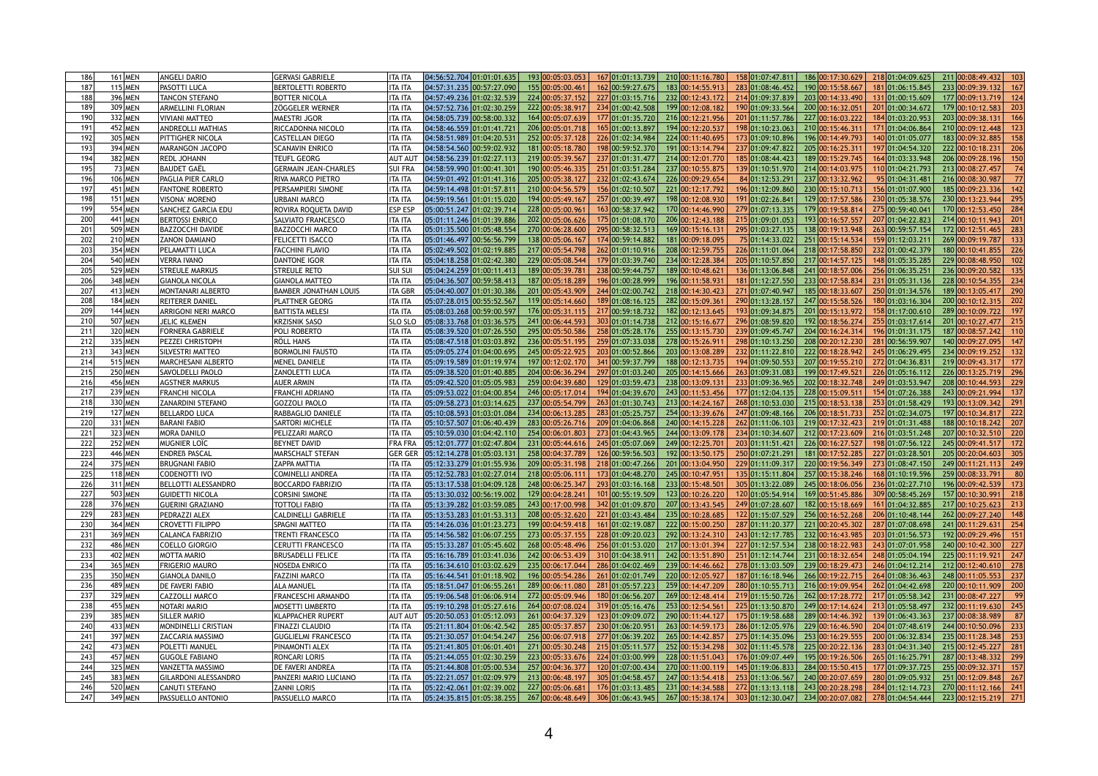| 186             | 161 MEN              | <b>ANGELI DARIO</b>                                  | <b>GERVASI GABRIELE</b>      | ITA ITA        | 04:56:52.704 01:01:01.635 | 193 00:05:03.053 | 167 01:01:13.739 | 210 00:11:16.780 | 158 01:07:47.811 | 186 00:17:30.629 | 218 01:04:09.625 | 211 00:08:49.432                    |
|-----------------|----------------------|------------------------------------------------------|------------------------------|----------------|---------------------------|------------------|------------------|------------------|------------------|------------------|------------------|-------------------------------------|
| 187             | $115$ MEN            | <b>PASOTTI LUCA</b>                                  | <b>BERTOLETTI ROBERTO</b>    | <b>ITA ITA</b> | 04:57:31.235 00:57:27.090 | 155 00:05:00.461 | 162 00:59:27.675 | 183 00:14:55.913 | 283 01:08:46.452 | 190 00:15:58.667 | 181 01:06:15.845 | 233 00:09:39.132                    |
| 188             | 396 MEN              | <b>TANCON STEFANO</b>                                | <b>BOTTER NICOLA</b>         | <b>ITA ITA</b> | 04:57:49.236 01:02:32.539 | 224 00:05:37.152 | 227 01:03:15.716 | 232 00:12:43.172 | 214 01:09:37.839 | 203 00:14:33.490 | 131 01:00:15.609 | 177 00:09:13.719<br>124             |
| 189             | 309 MEN              | <b>ARMELLINI FLORIAN</b>                             | <b>ZÖGGELER WERNER</b>       | ITA ITA        | 04:57:52.736 01:02:30.259 | 222 00:05:38.917 | 234 01:00:42.508 | 199 00:12:08.182 | 190 01:09:33.564 | 200 00:16:32.051 | 201 01:00:34.672 | 179 00:10:12.583                    |
| 190             | 332 MEN              | VIVIANI MATTEO                                       | <b>MAESTRI JGOR</b>          | <b>ITA ITA</b> | 04:58:05.739 00:58:00.332 | 164 00:05:07.639 | 177 01:01:35.720 | 216 00:12:21.956 | 201 01:11:57.786 | 227 00:16:03.222 | 184 01:03:20.953 | 203 00:09:38.131                    |
| 19 <sup>′</sup> | 452 MEN              | <b>ANDREOLLI MATHIAS</b>                             | RICCADONNA NICOLO            | ITA ITA        | 04:58:46.559 01:01:41.721 | 206 00:05:01.718 | 165 01:00:13.897 | 194 00:12:20.537 | 198 01:10:23.063 | 210 00:15:46.311 | 171 01:04:06.864 | 210 00:09:12.448                    |
| 192             | 305 MEN              | <b>PITTIGHER NICOLA</b>                              | <b>CASTELLAN DIEGO</b>       | ITA ITA        | 04:58:51.989 01:04:20.531 | 252 00:05:37.128 | 226 01:02:34.984 | 224 00:11:40.695 | 173 01:09:10.896 | 196 00:14:49.793 | 140 01:01:05.077 | 183 00:09:32.885                    |
| 193             | 394 MEN              | <b>MARANGON JACOPO</b>                               | <b>SCANAVIN ENRICO</b>       | ITA ITA        | 04:58:54.560 00:59:02.932 | 181 00:05:18.780 | 198 00:59:52.370 | 191 00:13:14.794 | 237 01:09:47.822 | 205 00:16:25.311 | 197 01:04:54.320 | 222 00:10:18.231                    |
| 194             | 382 MEN              | <b>REDL JOHANN</b>                                   | <b>TEUFL GEORG</b>           | <b>AUT AUT</b> | 04:58:56.239 01:02:27.113 | 219 00:05:39.567 | 237 01:01:31.477 | 214 00:12:01.770 | 185 01:08:44.423 | 189 00:15:29.745 | 164 01:03:33.948 | 206 00:09:28.196                    |
| 195             | 73 MEN               | <b>BAUDET GAËL</b>                                   | <b>GERMAIN JEAN-CHARLES</b>  | <b>SUI FRA</b> | 04:58:59.990 01:00:41.301 | 190 00:05:46.335 | 251 01:03:51.284 | 237 00:10:55.875 | 139 01:10:51.970 | 214 00:14:03.975 | 110 01:04:21.793 | 213 00:08:27.457                    |
| 196             | 106 MEN              | <b>PAGLIA PIER CARLO</b>                             | <b>RIVA MARCO PIETRO</b>     | <b>ITA ITA</b> | 04:59:01.492 01:01:41.316 | 205 00:05:38.127 | 232 01:02:43.674 | 226 00:09:29.654 | 84 01:12:53.291  | 237 00:13:32.962 | 95 01:04:31.481  | 216 00:08:30.987                    |
| 197             | 451 MEN              | <b>FANTONE ROBERTO</b>                               | PERSAMPIERI SIMONE           | ITA ITA        |                           | 210 00:04:56.579 | 156 01:02:10.507 | 221 00:12:17.792 | 196 01:12:09.860 | 230 00:15:10.713 | 156 01:01:07.900 | 185 00:09:23.336                    |
| 198             | 151 MEN              | VISONA' MORENO                                       | <b>URBANI MARCO</b>          | <b>ITA ITA</b> | 04:59:19.561 01:01:15.020 | 194 00:05:49.167 | 257 01:00:39.497 | 198 00:12:08.93  | 191 01:02:26.841 | 129 00:17:57.586 | 230 01:05:38.576 | 230 00:13:23.944                    |
| 199             | 554 MEN              | <b>SANCHEZ GARCIA EDU</b>                            | ROVIRA ROQUETA DAVID         | <b>ESP ESP</b> | 05:00:51.247 01:02:39.714 | 228 00:05:00.96  | 163 00:58:37.942 | 170 00:14:46.990 | 279 01:07:13.335 | 179 00:19:58.81  | 275 00:59:40.041 | 170 00:12:53.450                    |
| 200             | 441 MEN              | <b>BERTOSSI ENRICO</b>                               | <b>SALVIATO FRANCESCO</b>    | <b>ITA ITA</b> | 05:01:11.246 01:01:39.886 | 202 00:05:06.626 | 175 01:01:08.170 | 206 00:12:43.188 | 215 01:09:01.053 | 193 00:16:57.557 | 207 01:04:22.823 | 214 00:10:11.943<br>201             |
| 201             | 509 MEN              | <b>BAZZOCCHI DAVIDE</b>                              | <b>BAZZOCCHI MARCO</b>       | ITA ITA        | 05:01:35.500 01:05:48.554 | 270 00:06:28.600 | 295 00:58:32.513 | 169 00:15:16.13  | 295 01:03:27.135 | 138 00:19:13.948 | 263 00:59:57.154 | 172 00:12:51.465                    |
| 202             | 210 MEN              | <b>ZANON DAMIANO</b>                                 | FELICETTI ISACCO             | <b>ITA ITA</b> | 05:01:46.497 00:56:56.799 | 138 00:05:06.167 | 174 00:59:14.882 | 181 00:09:18.095 | 75 01:14:33.022  | 251 00:15:14.534 | 159 01:12:03.211 | 269 00:09:19.787                    |
| 203             | 354 MEN              | PELAMATTI LUCA                                       | <b>FACCHINI FLAVIO</b>       | ITA ITA        | 05:02:49.502 01:02:19.885 | 217 00:05:54.798 | 262 01:01:10.916 | 208 00:12:59.755 | 226 01:11:01.064 | 218 00:17:58.850 | 232 01:00:42.379 | 180 00:10:41.855                    |
| 204             | 540 MEN              | <b>VERRA IVANO</b>                                   | <b>DANTONE IGOR</b>          | <b>ITA ITA</b> | 05:04:18.258 01:02:42.380 | 229 00:05:08.544 | 179 01:03:39.740 | 234 00:12:28.384 | 205 01:10:57.850 | 217 00:14:57.125 | 148 01:05:35.285 | 229 00:08:48.950                    |
| 205             | 529 MEN              | <b>STREULE MARKUS</b>                                | <b>STREULE RETO</b>          | <b>SUI SUI</b> | 05:04:24.259 01:00:11.413 | 189 00:05:39.78  | 238 00:59:44.757 | 189 00:10:48.621 | 136 01:13:06.848 | 241 00:18:57.006 | 256 01:06:35.251 | 236 00:09:20.582                    |
| 206             | 348 MEN              | <b>GIANOLA NICOLA</b>                                | <b>GIANOLA MATTEO</b>        | <b>ITA ITA</b> | 05:04:36.507 00:59:58.413 | 187 00:05:18.289 | 196 01:00:28.999 | 196 00:11:58.93  | 181 01:12:27.550 | 233 00:17:58.834 | 231 01:05:31.136 | 228 00:10:54.355<br>234             |
| 207             | 413 MEN              | <b>MONTANARI ALBERTO</b>                             | <b>BAMBER JONATHAN LOUIS</b> | <b>ITA GBR</b> | 05:04:40.007 01:01:30.386 | 201 00:05:43.909 | 244 01:02:00.742 | 218 00:14:30.423 | 271 01:07:40.947 | 185 00:18:33.607 | 250 01:01:34.576 | 189 00:13:05.417<br>-290            |
| 208             | 184 MEN              | REITERER DANIEL                                      | <b>PLATTNER GEORG</b>        | ITA ITA        | 05:07:28.015 00:55:52.567 | 119 00:05:14.660 | 189 01:08:16.125 | 282 00:15:09.36  | 290 01:13:28.157 | 247 00:15:58.526 | 180 01:03:16.304 | 200 00:10:12.315<br>202             |
| 209             | 144 MEN              | <b>ARRIGONI NERI MARCO</b>                           | <b>BATTISTA MELESI</b>       | ITA ITA        | 05:08:03.268 00:59:00.597 | 176 00:05:31.115 | 217 00:59:18.732 | 182 00:12:13.645 | 193 01:09:34.875 | 201 00:15:13.972 | 158 01:17:00.610 | 289 00:10:09.722                    |
| 210             | 507 MEN              | JELIC KLEMEN                                         | <b>KRZISNIK SASO</b>         | <b>SLO SLO</b> | 05:08:33.768 01:03:36.575 | 241 00:06:44.593 | 303 01:01:14.738 | 212 00:15:16.677 | 296 01:08:59.820 | 192 00:18:56.274 | 255 01:03:17.614 | 201 00:10:27.477                    |
| 211             | 320 MEN              | <b>FORNERA GABRIELE</b>                              | POLI ROBERTO                 | ITA ITA        | 05:08:39.520 01:07:26.550 | 295 00:05:50.586 | 258 01:05:28.176 | 255 00:13:15.73  | 239 01:09:45.747 | 204 00:16:24.314 | 196 01:01:31.175 | 187 00:08:57.242                    |
| 212             | 335 MEN              | <b>PEZZEI CHRISTOPH</b>                              | <b>RÖLL HANS</b>             | ITA ITA        | 05:08:47.518 01:03:03.892 | 236 00:05:51.195 | 259 01:07:33.038 | 278 00:15:26.91  | 298 01:10:13.250 | 208 00:20:12.230 | 281 00:56:59.907 | 140 00:09:27.095                    |
| 213             | 343 MEN              | <b>ISILVESTRI MATTEO</b>                             | <b>BORMOLINI FAUSTO</b>      | ITA ITA        | 05:09:05.274 01:04:00.695 | 245 00:05:22.925 | 203 01:00:52.866 | 203 00:13:08.289 | 232 01:11:22.810 | 222 00:18:28.942 | 245 01:06:29.495 | 234 00:09:19.252                    |
| 214             | 515 MEN              | <b>MARCHESANI ALBERTO</b>                            | <b>MENEL DANIELE</b>         | ITA ITA        | 05:09:19.589 01:01:19.974 | 197 00:12:02.170 | 341 00:59:37.799 | 188 00:12:13.735 | 194 01:09:50.553 | 207 00:19:55.21  | 272 01:04:36.831 | 219 00:09:43.317<br>177             |
| 215             | 250 MEN              | SAVOLDELLI PAOLO                                     | <b>ZANOLETTI LUCA</b>        | ITA ITA        | 05:09:38.520 01:01:40.885 | 204 00:06:36.294 | 297 01:01:03.240 | 205 00:14:15.666 | 263 01:09:31.083 | 199 00:17:49.521 | 226 01:05:16.112 | 226 00:13:25.719                    |
| 216             | 456 MEN              | <b>AGSTNER MARKUS</b>                                | <b>AUER ARMIN</b>            | ITA ITA        | 05:09:42.520 01:05:05.983 | 259 00:04:39.680 | 129 01:03:59.473 | 238 00:13:09.131 | 233 01:09:36.965 | 202 00:18:32.748 | 249 01:03:53.947 | 208 00:10:44.593                    |
| 217             | 239 MEN              | <b>FRANCHI NICOLA</b>                                | FRANCHI ADRIANO              | ITA ITA        | 05:09:53.022 01:04:00.854 | 246 00:05:17.014 | 194 01:04:39.670 | 243 00:11:53.456 | 177 01:12:04.135 | 228 00:15:09.511 | 154 01:07:26.388 | 243 00:09:21.994                    |
| 218             | 330 MEN              | <b>ZANARDINI STEFANO</b>                             | <b>GOZZOLI PAOLO</b>         | <b>ITA ITA</b> | 05:09:58.273 01:03:14.625 | 237 00:05:54.799 | 263 01:01:30.743 | 213 00:14:24.167 | 268 01:10:53.030 | 215 00:18:53.138 | 253 01:01:58.429 | 193 00:13:09.342<br>291             |
| 219             | $127$ MEN            | <b>BELLARDO LUCA</b>                                 | RABBAGLIO DANIELE            | ITA ITA        | 05:10:08.593 01:03:01.084 | 234 00:06:13.285 | 283 01:05:25.757 | 254 00:13:39.676 | 247 01:09:48.166 | 206 00:18:51.733 | 252 01:02:34.075 | 197 00:10:34.817                    |
| 220             | 331 MEN              | <b>BARANI FABIO</b>                                  | <b>SARTORI MICHELE</b>       | ITA ITA        | 05:10:57.507 01:06:40.439 | 283 00:05:26.716 | 209 01:04:06.868 | 240 00:14:15.228 | 262 01:11:06.103 | 219 00:17:32.423 | 219 01:01:31.488 | 188 00:10:18.242<br>207             |
| 221             | 323 MEN              | <b>MORA DANILO</b>                                   | PELIZZARI MARCO              | ITA ITA        | 05:10:59.030 01:04:42.110 | 254 00:06:01.803 | 273 01:04:43.965 | 244 00:13:09.178 | 234 01:10:34.607 | 212 00:17:23.609 | 216 01:03:51.248 | 207 00:10:32.510<br><b>220</b>      |
| 222             | <b>252 MEN</b>       | MUGNIER LOÏC                                         | <b>BEYNET DAVID</b>          | <b>FRA FRA</b> | 05:12:01.777 01:02:47.804 | 231 00:05:44.616 | 245 01:05:07.069 | 249 00:12:25.701 | 203 01:11:51.421 | 226 00:16:27.527 | 198 01:07:56.122 | 245 00:09:41.517<br>172             |
| 223             | 446 MEN              | <b>ENDREB PASCAL</b>                                 | <b>MARSCHALT STEFAN</b>      | <b>GER GER</b> | 05:12:14.278 01:05:03.131 | 258 00:04:37.789 | 126 00:59:56.503 | 192 00:13:50.175 | 250 01:07:21.291 | 181 00:17:52.285 | 227 01:03:28.501 | 205 00:20:04.603                    |
| 224             | 375 MEN              | <b>BRUGNANI FABIO</b>                                | <b>ZAPPA MATTIA</b>          | <b>ITA ITA</b> | 05:12:33.279 01:01:55.936 | 209 00:05:31.198 | 218 01:00:47.266 | 201 00:13:04.95  | 229 01:11:09.317 | 220 00:19:56.349 | 273 01:08:47.150 | 249 00:11:21.113                    |
| 225             | 118 MEN              | CODENOTTI IVO                                        | <b>COMINELLI ANDREA</b>      | ITA ITA        | 05:12:52.783 01:02:27.014 | 218 00:05:06.11  | 173 01:04:48.270 | 245 00:10:47.951 | 135 01:15:11.804 | 257 00:15:38.246 | 168 01:10:19.596 | 259 00:08:33.791                    |
| 226             | 311 MEN              | <b>BELLOTTI ALESSANDRO</b>                           | <b>BOCCARDO FABRIZIO</b>     | ITA ITA        | 05:13:17.538 01:04:09.128 | 248 00:06:25.347 | 293 01:03:16.168 | 233 00:15:48.50  | 305 01:13:22.089 | 245 00:18:06.056 | 236 01:02:27.710 | 196 00:09:42.539                    |
| 227             | 503 MEN              | <b>GUIDETTI NICOLA</b>                               | <b>CORSINI SIMONE</b>        | ITA ITA        | 05:13:30.032 00:56:19.002 | 129 00:04:28.241 | 101 00:55:19.509 | 123 00:10:26.220 | 120 01:05:54.914 | 169 00:51:45.886 | 309 00:58:45.269 | 157 00:10:30.991                    |
| 228             | 376 MEN              | <b>GUERINI GRAZIANO</b>                              | <b>TOTTOLI FABIO</b>         | <b>ITA ITA</b> | 05:13:39.282 01:03:59.085 | 243 00:17:00.998 | 342 01:01:09.870 | 207 00:13:43.545 | 249 01:07:28.607 | 182 00:15:18.669 | 161 01:04:32.885 | 217 00:10:25.623                    |
| 229             | 283 MEN              | <b>PEDRAZZI ALEX</b>                                 | <b>CALDINELLI GABRIELE</b>   | ITA ITA        | 05:13:53.283 01:01:53.313 | 208 00:05:32.620 | 221 01:03:43.484 | 235 00:10:28.685 | 122 01:15:07.529 | 256 00:16:52.268 | 206 01:10:48.144 | 262 00:09:27.240                    |
| 230             | 364 MEN              | <b>CROVETTI FILIPPO</b>                              | <b>SPAGNI MATTEO</b>         | ITA ITA        | 05:14:26.036 01:01:23.273 | 199 00:04:59.418 | 161 01:02:19.087 | 222 00:15:00.25  | 287 01:11:20.377 | 221 00:20:45.302 | 287 01:07:08.698 | 241 00:11:29.631                    |
| 231             | 369 MEN              | <b>CALANCA FABRIZIO</b>                              | <b>TRENTI FRANCESCO</b>      | ITA ITA        | 05:14:56.582 01:06:07.255 | 273 00:05:37.155 | 228 01:09:20.023 | 292 00:13:24.31  | 243 01:12:17.785 | 232 00:16:43.985 | 203 01:01:56.573 | 192 00:09:29.496                    |
| 232             | 486 MEN              | <b>COELLO GIORGIO</b>                                | <b>CERUTTI FRANCESCO</b>     | ITA ITA        | 05:15:33.287 01:05:45.602 | 268 00:05:48.496 | 256 01:01:53.020 | 217 00:13:01.394 | 227 01:12:57.534 | 238 00:18:22.983 | 243 01:07:01.958 | 240 00:10:42.300                    |
| 233             | 402 MEN              | <b>MOTTA MARIO</b>                                   | <b>BRUSADELLI FELICE</b>     | ITA ITA        | 05:16:16.789 01:03:41.036 | 242 00:06:53.439 | 310 01:04:38.911 | 242 00:13:51.890 | 251 01:12:14.744 | 231 00:18:32.654 | 248 01:05:04.194 | 225 00:11:19.921<br>247             |
| 234             | 365 MEN              | <b>FRIGERIO MAURO</b>                                | <b>NOSEDA ENRICO</b>         | <b>ITA ITA</b> | 05:16:34.610 01:03:02.629 | 235 00:06:17.044 | 286 01:04:02.469 | 239 00:14:46.662 | 278 01:13:03.509 | 239 00:18:29.473 | 246 01:04:12.214 | 212 00:12:40.610<br>278             |
| 235             | 350 MEN              | <b>GIANOLA DANILO</b>                                | <b>FAZZINI MARCO</b>         | ITA ITA        | 05:16:44.541 01:01:18.902 | 196 00:05:54.286 | 261 01:02:01.749 | 220 00:12:05.927 | 187 01:16:18.946 | 266 00:19:22.715 | 264 01:08:36.463 | 248 00:11:05.553                    |
| 236             | 489 MEN              | <b>DE FAVERI FABIO</b>                               | <b>ALA MANUEL</b>            | <b>ITA ITA</b> | 05:18:51.047 01:06:55.261 | 289 00:06:11.080 | 281 01:05:57.223 | 259 00:14:47.209 | 280 01:10:55.713 | 216 00:19:09.954 | 262 01:04:42.698 | 220 00:10:11.909                    |
| 237             | 329 MEN              | CAZZOLLI MARCO                                       | FRANCESCHI ARMANDO           | ITA ITA        | 05:19:06.548 01:06:06.914 | 272 00:05:09.946 | 180 01:06:56.207 | 269 00:12:48.414 | 219 01:15:50.726 | 262 00:17:28.772 | 217 01:05:58.342 | 231 00:08:47.227                    |
| 238             | 455 MEN              | NOTARI MARIO                                         | <b>MOSETTI UMBERTO</b>       | ITA ITA        | 05:19:10.298 01:05:27.616 | 264 00:07:08.024 | 319 01:05:16.476 | 253 00:12:54.56  | 225 01:13:50.870 | 249 00:17:14.624 | 213 01:05:58.497 | 232 00:11:19.630                    |
| 239             | 385 MEN              | <b>SILLER MARIO</b>                                  | <b>KLAPPACHER RUPERT</b>     | <b>AUT AU</b>  |                           | 261 00:04:37.329 | 123 01:09:09.072 | 290 00:11:44.127 | 175 01:19:58.688 | 289 00:14:46.392 | 139 01:06:43.363 | 237 00:08:38.989                    |
| 240             | 433 MEN              | MONDINELLI CRISTIAN                                  | <b>FINAZZI CLAUDIO</b>       | <b>ITA ITA</b> | 05:21:11.804 01:06:42.542 | 285 00:05:37.857 | 230 01:06:20.951 | 263 00:14:59.173 | 286 01:12:05.976 | 229 00:16:46.590 | 204 01:07:48.619 | 244 00:10:50.096                    |
| 241             | 397 MEN              | <b>ZACCARIA MASSIMO</b>                              | <b>GUGLIELMI FRANCESCO</b>   | ITA ITA        | 05:21:30.057 01:04:54.247 | 256 00:06:07.91  | 277 01:06:39.202 | 265 00:14:42.857 | 275 01:14:35.096 | 253 00:16:29.555 | 200 01:06:32.834 | 235 00:11:28.348                    |
| 242             | 473 MEN              | <b>POLETTI MANUEL</b>                                | <b>PINAMONTI ALEX</b>        | ITA ITA        | 05:21:41.805 01:06:01.401 | 271 00:05:30.248 | 215 01:05:11.577 | 252 00:15:34.298 | 302 01:11:45.578 | 225 00:20:22.136 | 283 01:04:31.340 | 215 00:12:45.227<br>28 <sup>7</sup> |
| 243             | 457 MEN              | <b>GUGOLE FABIANO</b>                                | RONCARI LORIS                | ITA ITA        | 05:21:44.055 01:02:30.259 | 223 00:05:33.676 | 224 01:03:00.999 | 228 00:11:51.043 | 176 01:09:07.449 | 195 00:19:26.506 | 265 01:16:25.791 | 287 00:13:48.332                    |
| 244             | 325 MEN              | <b>VANZETTA MASSIMO</b>                              | <b>DE FAVERI ANDREA</b>      | ITA ITA        | 05:21:44.808 01:05:00.534 | 257 00:04:36.377 | 120 01:07:00.434 | 270 00:11:00.119 | 145 01:19:06.833 | 284 00:15:50.415 | 177 01:09:37.725 | 255 00:09:32.371<br>157             |
| 245             |                      |                                                      | <b>PANZERI MARIO LUCIANO</b> | <b>ITA ITA</b> | 05:22:21.057 01:02:09.979 | 213 00:06:48.197 | 305 01:04:58.457 | 247 00:13:54.418 | 253 01:13:06.567 | 240 00:20:07.659 | 280 01:09:05.932 | 251 00:12:09.848<br>267             |
|                 |                      |                                                      |                              |                |                           |                  |                  |                  |                  |                  |                  |                                     |
| 246             | 383 MEN<br>$520$ MEN | <b>GILARDONI ALESSANDRO</b><br><b>CANUTI STEFANO</b> | <b>ZANNI LORIS</b>           | <b>ITA ITA</b> |                           |                  |                  |                  |                  |                  |                  |                                     |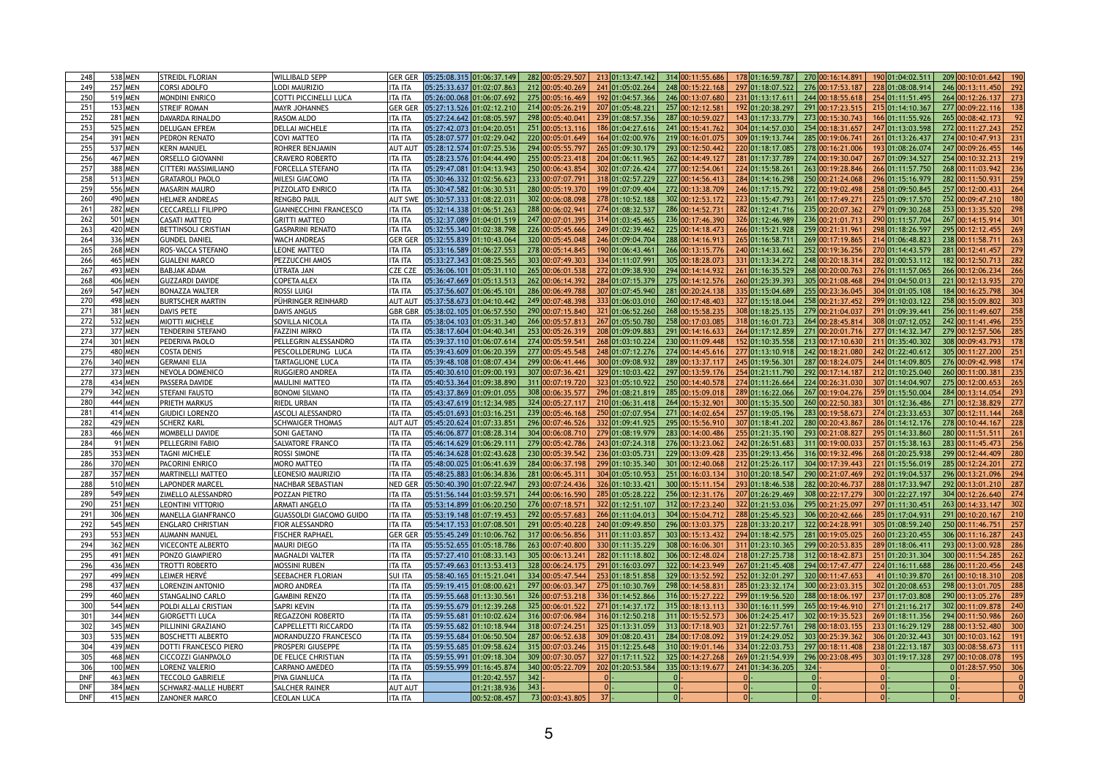| 248             | 538 MEN        | <b>STREIDL FLORIAN</b>      | <b>WILLIBALD SEPP</b>          | <b>GER GER</b> | 05:25:08.315 01:06:37.149 |     | 282 00:05:29.507 |        | 213 01:13:47.142 | 314 00:11:55.686 | 178 01:16:59.787 | 270 00:16:14.891 |   | 190 01:04:02.511 | 209 00:10:01.642 | 190          |
|-----------------|----------------|-----------------------------|--------------------------------|----------------|---------------------------|-----|------------------|--------|------------------|------------------|------------------|------------------|---|------------------|------------------|--------------|
| 249             | <b>257 MEN</b> | <b>CORSI ADOLFO</b>         | <b>LODI MAURIZIO</b>           | <b>ITA ITA</b> | 05:25:33.637 01:02:07.863 |     | 212 00:05:40.269 |        | 241 01:05:02.264 | 248 00:15:22.168 | 297 01:18:07.522 | 276 00:17:53.187 |   | 228 01:08:08.914 | 246 00:13:11.450 |              |
| 250             | 519 MEN        | <b>MONDINI ENRICO</b>       | <b>COTTI PICCINELLI LUCA</b>   | ITA ITA        | 05:26:00.068 01:06:07.692 |     | 275 00:05:16.469 |        | 192 01:04:57.366 | 246 00:13:07.680 | 231 01:13:17.611 | 244 00:18:55.618 |   | 254 01:11:51.495 | 264 00:12:26.137 | 273          |
| 251             | 153 MEN        | <b>STREIF ROMAN</b>         | <b>MAYR JOHANNES</b>           | <b>GER GER</b> | 05:27:13.526 01:02:12.210 |     | 214 00:05:26.219 |        | 207 01:05:48.221 | 257 00:12:12.58  | 192 01:20:38.297 | 291 00:17:23.515 |   | 215 01:14:10.367 | 277 00:09:22.116 |              |
| 252             | <b>281 MEN</b> | DAVARDA RINALDO             | <b>RASOM ALDO</b>              | <b>ITA ITA</b> | 05:27:24.642 01:08:05.597 |     | 298 00:05:40.04  |        | 239 01:08:57.356 | 287 00:10:59.027 | 143 01:17:33.779 | 273 00:15:30.743 |   | 166 01:11:55.926 | 265 00:08:42.173 |              |
| 253             | 525 MEN        | <b>DELUGAN EFREM</b>        | <b>DELLAI MICHELE</b>          | ITA ITA        | 05:27:42.073 01:04:20.051 |     | 251 00:05:13.116 |        | 186 01:04:27.616 | 241 00:15:41.762 | 304 01:14:57.030 | 254 00:18:31.657 |   | 247 01:13:03.598 | 272 00:11:27.243 |              |
| 254             | 391 MEN        | <b>PEDRON RENATO</b>        | <b>COVI MATTEO</b>             | ITA ITA        | 05:28:07.577 01:02:29.042 |     | 220 00:05:01.649 |        | 164 01:02:00.976 | 219 00:16:01.075 | 309 01:19:13.744 | 285 00:19:06.741 |   | 261 01:13:26.437 | 274 00:10:47.913 | 231          |
| 255             | 537 MEN        | IKERN MANUEL                | <b>ROHRER BENJAMIN</b>         | <b>AUT AU</b>  | 05:28:12.574 01:07:25.536 |     | 294 00:05:55.797 |        | 265 01:09:30.179 | 293 00:12:50.442 | 220 01:18:17.085 | 278 00:16:21.006 |   | 193 01:08:26.074 | 247 00:09:26.455 |              |
| 256             | 467 MEN        | <b>ORSELLO GIOVANNI</b>     | <b>CRAVERO ROBERTO</b>         | ITA ITA        | 05:28:23.576 01:04:44.490 |     | 255 00:05:23.418 |        | 204 01:06:11.965 | 262 00:14:49.127 | 281 01:17:37.789 | 274 00:19:30.047 |   | 267 01:09:34.527 | 254 00:10:32.213 |              |
| 257             | 388 MEN        | <b>CITTERI MASSIMILIANO</b> | <b>FORCELLA STEFANO</b>        | ITA ITA        | 05:29:47.081 01:04:13.943 |     | 250 00:06:43.854 |        | 302 01:07:26.424 | 277 00:12:54.061 | 224 01:15:58.261 | 263 00:19:28.846 |   | 266 01:11:57.750 | 268 00:11:03.942 |              |
| 258             | 513 MEN        | <b>GRATAROLI PAOLO</b>      | <b>MILESI GIACOMO</b>          | ITA ITA        | 05:30:46.332 01:02:56.623 |     | 233 00:07:07.79  |        | 318 01:02:57.229 | 227 00:14:56.413 | 284 01:14:16.298 | 250 00:21:24.068 |   | 296 01:15:16.979 | 282 00:11:50.931 | 259          |
| 259             | 556 MEN        | <b>MASARIN MAURO</b>        | PIZZOLATO ENRICO               | ITA ITA        | 05:30:47.582 01:06:30.531 |     | 280 00:05:19.370 |        | 199 01:07:09.404 | 272 00:13:38.709 | 246 01:17:15.792 | 272 00:19:02.498 |   | 258 01:09:50.845 | 257 00:12:00.433 |              |
| 260             | 490 MEN        | <b>HELMER ANDREAS</b>       | <b>RENGBO PAUL</b>             | <b>AUT SWE</b> | 05:30:57.333 01:08:22.031 |     | 302 00:06:08.098 |        | 278 01:10:52.188 | 302 00:12:53.172 | 223 01:15:47.793 | 261 00:17:49.271 |   | 225 01:09:17.570 | 252 00:09:47.210 |              |
| 26 <sup>′</sup> | <b>282 MEN</b> | <b>CECCARELLI FILIPPO</b>   | <b>GIANNECCHINI FRANCESCO</b>  | <b>ITA ITA</b> | 05:32:14.338 01:06:51.263 |     | 288 00:06:02.94  |        | 274 01:08:32.537 | 286 00:14:52.73  | 282 01:12:41.716 | 235 00:20:07.362 |   | 279 01:09:30.268 | 253 00:13:35.520 |              |
| 262             | 501 MEN        | <b>CASATI MATTEO</b>        | <b>GRITTI MATTEO</b>           | ITA ITA        | 05:32:37.089 01:04:01.519 |     | 247 00:07:01.395 |        | 314 01:03:45.465 | 236 00:17:46.39  | 326 01:12:46.989 | 236 00:21:01.713 |   | 290 01:11:57.704 | 267 00:14:15.914 | 301          |
| 263             | 420 MEN        | <b>BETTINSOLI CRISTIAN</b>  | <b>GASPARINI RENATO</b>        | ITA ITA        | 05:32:55.340 01:02:38.798 |     | 226 00:05:45.666 |        | 249 01:02:39.462 | 225 00:14:18.473 | 266 01:15:21.928 | 259 00:21:31.961 |   | 298 01:18:26.597 | 295 00:12:12.455 |              |
| 264             | 336 MEN        | <b>GUNDEL DANIEL</b>        | <b>WACH ANDREAS</b>            | <b>GER GER</b> | 05:32:55.839 01:10:43.064 |     | 320 00:05:45.048 |        | 246 01:09:04.704 | 288 00:14:16.913 | 265 01:16:58.711 | 269 00:17:19.865 |   | 214 01:06:48.823 | 238 00:11:58.711 | 263          |
| 265             | 268 MEN        | <b>ROS-VACCA STEFANO</b>    | <b>LEONE MATTEO</b>            | ITA ITA        | 05:33:16.589 01:06:27.553 |     | 278 00:05:14.845 |        | 190 01:06:43.461 | 266 00:13:15.776 | 240 01:14:33.662 | 252 00:19:36.256 |   | 270 01:14:43.579 | 281 00:12:41.457 | -279         |
| 266             | 465 MEN        | <b>GUALENI MARCO</b>        | PEZZUCCHI AMOS                 | ITA ITA        | 05:33:27.343 01:08:25.565 |     | 303 00:07:49.303 |        | 334 01:11:07.991 | 305 00:18:28.073 | 331 01:13:34.272 | 248 00:20:18.314 |   | 282 01:00:53.112 | 182 00:12:50.713 | 282          |
| 267             | 493 MEN        | <b>BABJAK ADAM</b>          | ÚTRATA JAN                     | CZE CZE        | 05:36:06.101 01:05:31.110 |     | 265 00:06:01.538 |        | 272 01:09:38.930 | 294 00:14:14.932 | 261 01:16:35.529 | 268 00:20:00.763 |   | 276 01:11:57.065 | 266 00:12:06.234 |              |
| 268             | 406 MEN        | <b>GUZZARDI DAVIDE</b>      | <b>COPETA ALEX</b>             | <b>ITA ITA</b> | 05:36:47.669 01:05:13.513 |     | 262 00:06:14.392 |        | 284 01:07:15.379 | 275 00:14:12.576 | 260 01:25:39.393 | 305 00:21:08.468 |   | 294 01:04:50.013 | 221 00:12:13.935 | 270          |
| 269             | 547 MEN        | <b>BONAZZA WALTER</b>       | <b>ROSSI LUIGI</b>             | ITA ITA        | 05:37:56.607 01:06:45.101 |     | 286 00:06:49.788 |        | 307 01:07:45.940 | 281 00:20:24.138 | 335 01:15:04.689 | 255 00:23:36.045 |   | 304 01:01:05.108 | 184 00:16:25.798 |              |
| 270             | 498 MEN        | <b>BURTSCHER MARTIN</b>     | PÜHRINGER REINHARD             | <b>AUT AU</b>  | 05:37:58.673 01:04:10.442 |     | 249 00:07:48.398 |        | 333 01:06:03.010 | 260 00:17:48.403 | 327 01:15:18.044 | 258 00:21:37.452 |   | 299 01:10:03.122 | 258 00:15:09.802 |              |
| 271             | 381 MEN        | <b>DAVIS PETE</b>           | <b>DAVIS ANGUS</b>             | <b>GBR GBR</b> | 05:38:02.105 01:06:57.550 |     | 290 00:07:15.840 |        | 321 01:06:52.260 | 268 00:15:58.235 | 308 01:18:25.135 | 279 00:21:04.037 |   | 291 01:09:39.441 | 256 00:11:49.607 |              |
| 272             | 532 MEN        | MIOTTI MICHELE              | <b>SOVILLA NICOLA</b>          | <b>ITA ITA</b> | 05:38:04.103 01:05:31.340 |     | 266 00:05:57.81  |        | 267 01:05:50.780 | 258 00:17:03.085 | 318 01:16:01.723 | 264 00:28:45.814 |   | 308 01:07:12.052 | 242 00:11:41.496 |              |
| 273             | 377 MEN        | <b>TENDERINI STEFANO</b>    | <b>FAZZINI MIRKO</b>           | ITA ITA        | 05:38:17.604 01:04:40.341 |     | 253 00:05:26.31  |        | 208 01:09:09.883 | 291 00:14:16.633 | 264 01:17:12.859 | 271 00:20:01.716 |   | 277 01:14:32.347 | 279 00:12:57.506 |              |
| 274             | 301 MEN        | <b>PEDERIVA PAOLO</b>       | PELLEGRIN ALESSANDRO           | ITA ITA        | 05:39:37.110 01:06:07.614 |     | 274 00:05:59.541 |        | 268 01:03:10.224 | 230 00:11:09.448 | 152 01:10:35.558 | 213 00:17:10.630 |   | 211 01:35:40.302 | 308 00:09:43.793 | 178          |
| 275             | 480 MEN        | <b>COSTA DENIS</b>          | PESCOLLDERUNG LUCA             | ITA ITA        | 05:39:43.609 01:06:20.359 |     | 277 00:05:45.548 |        | 248 01:07:12.276 | 274 00:14:45.61  | 277 01:13:10.918 | 242 00:18:21.080 |   | 242 01:22:40.612 | 305 00:11:27.200 |              |
| 276             | 340 MEN        | <b>GERMANI ELIA</b>         | <b>TARTAGLIONE LUCA</b>        | <b>ITA ITA</b> | 05:39:48.108 01:08:07.434 |     | 299 00:06:41.446 |        | 300 01:09:08.932 | 289 00:13:37.11  | 245 01:19:56.301 | 287 00:18:24.075 |   | 244 01:14:09.805 | 276 00:09:42.998 | 174          |
| 277             | 373 MEN        | NEVOLA DOMENICO             | <b>RUGGIERO ANDREA</b>         | <b>ITA ITA</b> | 05:40:30.610 01:09:00.193 |     | 307 00:07:36.421 |        | 329 01:10:03.422 | 297 00:13:59.176 | 254 01:21:11.790 | 292 00:17:14.187 |   | 212 01:10:25.040 | 260 00:11:00.381 | 235          |
| 278             | 434 MEN        | <b>PASSERA DAVIDE</b>       | <b>MAULINI MATTEO</b>          | ITA ITA        | 05:40:53.364 01:09:38.890 |     | 311 00:07:19.720 |        | 323 01:05:10.922 | 250 00:14:40.578 | 274 01:11:26.664 | 224 00:26:31.030 |   | 307 01:14:04.907 | 275 00:12:00.653 |              |
| 279             | 342 MEN        | <b>STEFANI FAUSTO</b>       | <b>BONOMI SILVANO</b>          | ITA ITA        | 05:43:37.869 01:09:01.055 |     | 308 00:06:35.577 |        | 296 01:08:21.819 | 285 00:15:09.018 | 289 01:16:22.066 | 267 00:19:04.276 |   | 259 01:15:50.004 | 284 00:13:14.054 |              |
| 280             | 444 MEN        | <b>PRIETH MARKUS</b>        | <b>RIEDL URBAN</b>             | <b>ITA ITA</b> | 05:43:47.619 01:12:34.985 |     | 324 00:05:27.117 |        | 210 01:06:31.418 | 264 00:15:32.901 | 300 01:15:35.500 | 260 00:22:50.383 |   | 301 01:12:36.486 | 271 00:12:38.829 | 277          |
| 281             | 414 MEN        | <b>GIUDICI LORENZO</b>      | <b>ASCOLI ALESSANDRO</b>       | ITA ITA        | 05:45:01.693 01:03:16.251 |     | 239 00:05:46.168 |        | 250 01:07:07.954 | 271 00:14:02.654 | 257 01:19:05.196 | 283 00:19:58.673 |   | 274 01:23:33.653 | 307 00:12:11.144 |              |
| 282             | 429 MEN        | <b>SCHERZ KARL</b>          | <b>SCHWAIGER THOMAS</b>        | <b>AUT AU</b>  | 05:45:20.624 01:07:33.851 |     | 296 00:07:46.526 |        | 332 01:09:41.925 | 295 00:15:56.91  | 307 01:18:41.202 | 280 00:20:43.867 |   | 286 01:14:12.176 | 278 00:10:44.167 |              |
| 283             | 466 MEN        | MOMBELLI DAVIDE             | <b>SONI GAETANO</b>            | ITA ITA        | 05:46:06.877 01:08:28.314 |     | 304 00:06:08.71  |        | 279 01:08:19.979 | 283 00:14:00.486 | 255 01:21:35.190 | 293 00:21:08.827 |   | 295 01:14:33.860 | 280 00:11:51.511 | $26^{\circ}$ |
| 284             | 91 MEN         | PELLEGRINI FABIO            | <b>SALVATORE FRANCO</b>        | ITA ITA        | 05:46:14.629 01:06:29.111 |     | 279 00:05:42.786 |        | 243 01:07:24.318 | 276 00:13:23.062 | 242 01:26:51.683 | 311 00:19:00.033 |   | 257 01:15:38.163 | 283 00:11:45.473 |              |
| 285             | 353 MEN        | <b>TAGNI MICHELE</b>        | <b>ROSSI SIMONE</b>            | ITA ITA        | 05:46:34.628 01:02:43.628 |     | 230 00:05:39.542 |        | 236 01:03:05.731 | 229 00:13:09.428 | 235 01:29:13.456 | 316 00:19:32.496 |   | 268 01:20:25.938 | 299 00:12:44,409 |              |
| 286             | 370 MEN        | <b>PACORINI ENRICO</b>      | <b>MORO MATTEO</b>             | <b>ITA ITA</b> | 05:48:00.025 01:06:41.639 |     | 284 00:06:37.198 |        | 299 01:10:35.340 | 301 00:12:40.068 | 212 01:25:26.117 | 304 00:17:39.443 |   | 221 01:15:56.019 | 285 00:12:24.201 |              |
| 287             | 357 MEN        | <b>MARTINELLI MATTEO</b>    | <b>LEONESIO MAURIZIO</b>       | ITA ITA        | 05:48:25.883 01:06:34.836 |     | 281 00:06:45.31  |        | 304 01:05:10.953 | 251 00:16:03.134 | 310 01:20:18.547 | 290 00:21:07.469 |   | 292 01:19:04.537 | 296 00:13:21.096 |              |
| 288             | 510 MEN        | LAPONDER MARCEL             | <b>NACHBAR SEBASTIAN</b>       | <b>NED GER</b> | 05:50:40.390 01:07:22.947 |     | 293 00:07:24.436 |        | 326 01:10:33.421 | 300 00:15:11.154 | 293 01:18:46.538 | 282 00:20:46.737 |   | 288 01:17:33.947 | 292 00:13:01.210 | 287          |
| 289             | 549 MEN        | <b>ZIMELLO ALESSANDRO</b>   | POZZAN PIETRO                  | ITA ITA        | 05:51:56.144 01:03:59.571 |     | 244 00:06:16.590 |        | 285 01:05:28.222 | 256 00:12:31.176 | 207 01:26:29.469 | 308 00:22:17.279 |   | 300 01:22:27.197 | 304 00:12:26.640 |              |
| 290             | <b>251 MEN</b> | <b>LEONTINI VITTORIO</b>    | <b>ARMATI ANGELO</b>           | <b>ITA ITA</b> | 05:53:14.899 01:06:20.250 |     | 276 00:07:18.57  |        | 322 01:12:51.107 | 312 00:17:23.24  | 322 01:21:53.036 | 295 00:21:25.097 |   | 297 01:11:30.451 | 263 00:14:33.147 |              |
| 291             | 306 MEN        | <b>MANELLA GIANFRANCO</b>   | <b>GUASSOLDI GIACOMO GUIDO</b> | <b>ITA ITA</b> | 05:53:19.148 01:07:19.453 |     | 292 00:05:57.68  |        | 266 01:11:04.013 | 304 00:15:04.71  | 288 01:25:45.523 | 306 00:20:42.666 |   | 285 01:17:04.931 | 291 00:10:20.167 |              |
| 292             | 545 MEN        | <b>ENGLARO CHRISTIAN</b>    | <b>FIOR ALESSANDRO</b>         | <b>ITA ITA</b> |                           |     | 291 00:05:40.228 |        | 240 01:09:49.850 | 296 00:13:03.375 | 228 01:33:20.217 | 322 00:24:28.991 |   | 305 01:08:59.240 | 250 00:11:46.751 | 257          |
| 293             | 553 MEN        | <b>AUMANN MANUEL</b>        | <b>FISCHER RAPHAEL</b>         | <b>GER GER</b> | 05:55:45.249 01:10:06.762 |     | 317 00:06:56.856 |        | 311 01:11:03.857 | 303 00:15:13.432 | 294 01:18:42.575 | 281 00:19:05.025 |   | 260 01:23:20.455 | 306 00:11:16.287 |              |
| 294             | 362 MEN        | <b>VICECONTE ALBERTO</b>    | <b>MAURI DIEGO</b>             | ITA ITA        | 05:55:52.655 01:05:18.786 |     | 263 00:07:40.800 |        | 330 01:11:35.229 | 308 00:16:06.30  | 311 01:23:10.365 | 299 00:20:53.835 |   | 289 01:18:06.411 | 293 00:13:00.928 |              |
| 295             | 491 MEN        | <b>PONZO GIAMPIERO</b>      | <b>MAGNALDI VALTER</b>         | ITA ITA        | 05:57:27.410 01:08:33.143 |     | 305 00:06:13.241 |        | 282 01:11:18.802 | 306 00:12:48.024 | 218 01:27:25.738 | 312 00:18:42.873 |   | 251 01:20:31.304 | 300 00:11:54.285 |              |
| 296             | 436 MEN        | <b>TROTTI ROBERTO</b>       | <b>MOSSINI RUBEN</b>           | <b>ITA ITA</b> | 05:57:49.663 01:13:53.413 |     | 328 00:06:24.175 |        | 291 01:16:03.097 | 322 00:14:23.949 | 267 01:21:45.408 | 294 00:17:47.477 |   | 224 01:16:11.688 | 286 00:11:20.456 |              |
| 297             | 499 MEN        | LEIMER HERVÉ                | SEEBACHER FLORIAN              | <b>SUI ITA</b> | 05:58:40.165 01:15:21.041 |     | 334 00:05:47.544 |        | 253 01:18:51.858 | 329 00:13:52.592 | 252 01:32:01.297 | 320 00:11:47.653 |   | 41 01:10:39.870  | 261 00:10:18.310 |              |
| 298             | 437 MEN        | <b>LORENZIN ANTONIO</b>     | <b>MORO ANDREA</b>             | <b>ITA ITA</b> | 05:59:19.415 01:08:00.621 |     | 297 00:06:03.347 |        | 275 01:10:30.769 | 298 00:14:58.83  | 285 01:23:32.174 | 300 00:23:03.315 |   | 302 01:20:08.653 | 298 00:13:01.705 |              |
| 299             | 460 MEN        | <b>STANGALINO CARLO</b>     | <b>GAMBINI RENZO</b>           | ITA ITA        | 05:59:55.668 01:13:30.561 |     | 326 00:07:53.21  |        | 336 01:14:52.866 | 316 00:15:27.222 | 299 01:19:56.520 | 288 00:18:06.197 |   | 237 01:17:03.808 | 290 00:13:05.276 |              |
| 300             | 544 MEN        | <b>POLDI ALLAI CRISTIAN</b> | <b>SAPRI KEVIN</b>             | ITA ITA        | 05:59:55.679 01:12:39.268 |     | 325 00:06:01.522 |        | 271 01:14:37.172 | 315 00:18:13.113 | 330 01:16:11.599 | 265 00:19:46.91  |   | 271 01:21:16.217 | 302 00:11:09.878 | 240          |
| 30 <sup>7</sup> | 344 MEN        | <b>GIORGETTI LUCA</b>       | REGAZZONI ROBERTO              | ITA ITA        | 05:59:55.681 01:10:02.624 |     | 316 00:07:06.984 |        | 316 01:12:50.218 | 311 00:15:52.573 | 306 01:24:25.417 | 302 00:19:35.523 |   | 269 01:18:11.356 | 294 00:11:50.986 |              |
| 302             | 345 MEN        | <b>PILLININI GRAZIANO</b>   | <b>CAPPELLETTI RICCARDO</b>    | <b>ITA ITA</b> | 05:59:55.682 01:10:18.944 |     | 318 00:07:24.251 |        | 325 01:13:31.059 | 313 00:17:18.903 | 321 01:22:57.761 | 298 00:18:03.155 |   | 233 01:16:29.129 | 288 00:13:52.480 |              |
| 303             | 535 MEN        | <b>BOSCHETTI ALBERTO</b>    | MORANDUZZO FRANCESCO           | <b>ITA ITA</b> | 05:59:55.684 01:06:50.504 |     | 287 00:06:52.638 |        | 309 01:08:20.431 | 284 00:17:08.092 | 319 01:24:29.052 | 303 00:25:39.362 |   | 306 01:20:32.443 | 301 00:10:03.162 |              |
| 30<             | 439 MEN        | DOTTI FRANCESCO PIERO       | <b>PROSPERI GIUSEPPE</b>       | ITA ITA        | 05:59:55.685 01:09:58.624 |     | 315 00:07:03.246 |        | 315 01:12:25.648 | 310 00:19:01.146 | 334 01:22:03.753 | 297 00:18:11.408 |   | 238 01:22:13.187 | 303 00:08:58.673 |              |
| 305             | 468 MEN        | <b>CICCOZZI GIANPAOLO</b>   | <b>DE FELICE CHRISTIAN</b>     | ITA ITA        |                           |     | 309 00:07:30.057 |        | 327 01:17:11.522 | 325 00:14:27.268 | 269 01:21:54.939 | 296 00:23:08.495 |   | 303 01:19:17.328 | 297 00:10:08.078 |              |
| 306             | 100 MEN        | LORENZ VALERIO              | <b>CARPANO AMEDEO</b>          | ITA ITA        | 05:59:55.999 01:16:45.874 |     | 340 00:05:22.709 |        | 202 01:20:53.584 | 335 00:13:19.67  | 241 01:34:36.205 | 324              |   |                  | 001:28:57.950    |              |
| <b>DNF</b>      | 463 MEN        | <b>TECCOLO GABRIELE</b>     | <b>PIVA GIANLUCA</b>           | <b>ITA ITA</b> | 01:20:42.557              | 342 |                  |        |                  |                  |                  |                  |   |                  |                  |              |
| <b>DNF</b>      | 384 MEN        | <b>SCHWARZ-MALLE HUBERT</b> | <b>SALCHER RAINER</b>          | <b>AUT AUT</b> | $ 01:21:38.936 $ 343      |     |                  | 0      |                  |                  |                  |                  | 0 |                  | 0                |              |
| <b>DNF</b>      | $415$ MEN      | <b>ZANONER MARCO</b>        | <b>CEOLAN LUCA</b>             | <b>ITA ITA</b> | 00:52:08.457              |     | 73 00:03:43.805  | $37$ . |                  |                  |                  |                  |   |                  |                  |              |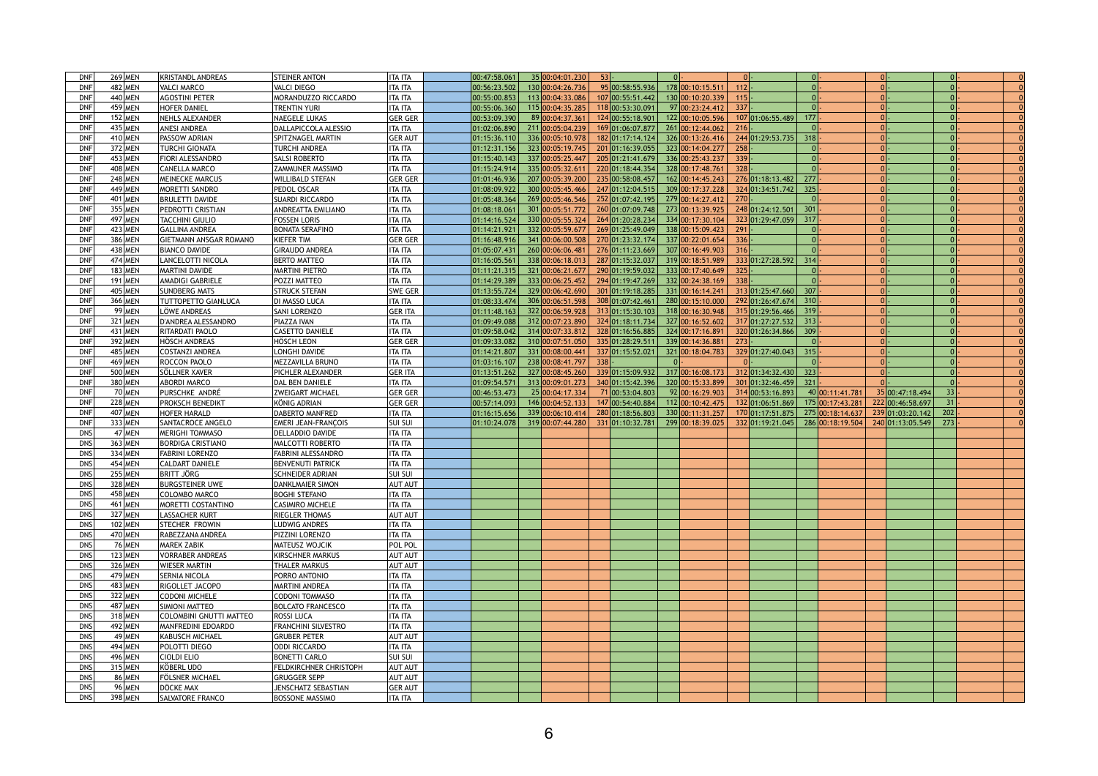| <b>DNF</b>          | <b>269 MEN</b> |                   | <b>KRISTANDL ANDREAS</b>             | <b>STEINER ANTON</b>                                 | <b>ITA ITA</b>                   | 00:47:58.061 | 35 00:04:01.230                      | $53$ .  |                  |                  |         |                                        |        |                 |                  |        |  |
|---------------------|----------------|-------------------|--------------------------------------|------------------------------------------------------|----------------------------------|--------------|--------------------------------------|---------|------------------|------------------|---------|----------------------------------------|--------|-----------------|------------------|--------|--|
| <b>DNF</b>          |                | 482 MEN           | <b>VALCI MARCO</b>                   | <b>VALCI DIEGO</b>                                   | <b>ITA ITA</b>                   | 00:56:23.502 | 130 00:04:26.736                     |         | 95 00:58:55.936  | 178 00:10:15.51  | 112     |                                        |        |                 |                  |        |  |
| <b>DNF</b>          | 440 MEN        |                   | <b>AGOSTINI PETER</b>                | <b>MORANDUZZO RICCARDO</b>                           | <b>ITA ITA</b>                   | 00:55:00.853 | 113 00:04:33.086                     |         | 107 00:55:51.442 | 130 00:10:20.339 | 115     |                                        |        |                 |                  |        |  |
| <b>DNF</b>          | 459 MEN        |                   | <b>HOFER DANIEL</b>                  | <b>TRENTIN YURI</b>                                  | <b>ITA ITA</b>                   | 00:55:06.360 | 115 00:04:35.285                     |         | 118 00:53:30.091 | 97 00:23:24.412  | $337$ . |                                        |        |                 |                  |        |  |
| <b>DNF</b>          | 152 MEN        |                   | <b>NEHLS ALEXANDER</b>               | <b>NAEGELE LUKAS</b>                                 | <b>GER GER</b>                   | 00:53:09.390 | 89 00:04:37.36                       |         | 124 00:55:18.901 | 122 00:10:05.596 |         | 107 01:06:55.489                       | 177    |                 |                  |        |  |
| <b>DNF</b>          |                | 435 MEN           | <b>ANESI ANDREA</b>                  | DALLAPICCOLA ALESSIO                                 | <b>ITA ITA</b>                   | 01:02:06.890 | 211 00:05:04.239                     |         | 169 01:06:07.877 | 261 00:12:44.062 | 216     |                                        |        |                 |                  |        |  |
| <b>DNF</b>          | 410 MEN        |                   | <b>PASSOW ADRIAN</b>                 | <b>SPITZNAGEL MARTIN</b>                             | <b>GER AUT</b>                   | 01:15:36.110 | 336 00:05:10.978                     |         | 182 01:17:14.124 | 326 00:13:26.416 |         | 244 01:29:53.735                       | 318    |                 |                  |        |  |
|                     |                |                   |                                      |                                                      |                                  |              |                                      |         | 201 01:16:39.055 | 323 00:14:04.277 | 258     |                                        |        |                 |                  |        |  |
| <b>DNF</b>          | 372 MEN        |                   | TURCHI GIONATA                       | <b>TURCHI ANDREA</b>                                 | <b>ITA ITA</b>                   | 01:12:31.156 | 323 00:05:19.745                     |         |                  |                  |         |                                        |        |                 |                  |        |  |
| <b>DNF</b>          | 453 MEN        |                   | <b>FIORI ALESSANDRO</b>              | <b>SALSI ROBERTO</b>                                 | <b>ITA ITA</b>                   | 01:15:40.143 | 337 00:05:25.447                     |         | 205 01:21:41.679 | 336 00:25:43.237 | 339     |                                        |        |                 |                  |        |  |
| <b>DNF</b>          | 408 MEN        |                   | <b>CANELLA MARCO</b>                 | <b>ZAMMUNER MASSIMO</b>                              | ITA ITA                          | 01:15:24.914 | 335 00:05:32.61                      |         | 220 01:18:44.354 | 328 00:17:48.761 | 328     |                                        |        |                 |                  |        |  |
| <b>DNF</b>          | 248 MEN        |                   | <b>MEINECKE MARCUS</b>               | <b>WILLIBALD STEFAN</b>                              | <b>GER GER</b>                   | 01:01:46.936 | 207 00:05:39.200                     |         | 235 00:58:08.457 | 162 00:14:45.243 |         | 276 01:18:13.482                       | 277    |                 |                  |        |  |
| <b>DNF</b>          | 449 MEN        |                   | <b>IMORETTI SANDRO</b>               | <b>PEDOL OSCAR</b>                                   | <b>ITA ITA</b>                   | 01:08:09.922 | 300 00:05:45.466                     |         | 247 01:12:04.515 | 309 00:17:37.228 |         | 324 01:34:51.742                       | 325    |                 |                  |        |  |
| <b>DNF</b>          | 401 MEN        |                   | BRULETTI DAVIDE                      | <b>SUARDI RICCARDO</b>                               | <b>ITA ITA</b>                   | 01:05:48.364 | 269 00:05:46.546                     |         | 252 01:07:42.195 | 279 00:14:27.412 | 270     |                                        |        |                 |                  |        |  |
| <b>DNF</b>          | 355 MEN        |                   | PEDROTTI CRISTIAN                    | <b>ANDREATTA EMILIANO</b>                            | <b>ITA ITA</b>                   | 01:08:18.061 | 301 00:05:51.772                     |         | 260 01:07:09.748 | 273 00:13:39.925 |         | 248 01:24:12.501                       | 301    |                 |                  |        |  |
| <b>DNF</b>          | 497 MEN        |                   | ITACCHINI GIULIO                     | <b>FOSSEN LORIS</b>                                  | <b>ITA ITA</b>                   | 01:14:16.524 | 330 00:05:55.324                     |         | 264 01:20:28.234 | 334 00:17:30.104 |         | 323 01:29:47.059                       | 317    |                 |                  |        |  |
| <b>DNF</b>          | 423 MEN        |                   | <b>GALLINA ANDREA</b>                | <b>BONATA SERAFINO</b>                               | ITA ITA                          | 01:14:21.921 | 332 00:05:59.677                     |         | 269 01:25:49.049 | 338 00:15:09.423 | 291     |                                        |        |                 |                  |        |  |
| <b>DNF</b>          | 386 MEN        |                   | <b>GIETMANN ANSGAR ROMANO</b>        | <b>IKIEFER TIM</b>                                   | <b>GER GER</b>                   | 01:16:48.916 | 341 00:06:00.508                     |         | 270 01:23:32.174 | 337 00:22:01.654 | 336     |                                        |        |                 |                  |        |  |
| <b>DNF</b>          |                | 438 MEN           | <b>BIANCO DAVIDE</b>                 | <b>GIRAUDO ANDREA</b>                                | ITA ITA                          | 01:05:07.431 | 260 00:06:06.481                     |         | 276 01:11:23.669 | 307 00:16:49.903 | 316     |                                        |        |                 |                  |        |  |
| <b>DNF</b>          | 474 MEN        |                   | <b>LANCELOTTI NICOLA</b>             | <b>BERTO MATTEO</b>                                  | ITA ITA                          | 01:16:05.561 | 338 00:06:18.013                     |         | 287 01:15:32.037 | 319 00:18:51.989 |         | 333 01:27:28.592                       | 314    |                 |                  |        |  |
| <b>DNF</b>          | 183 MEN        |                   | <b>MARTINI DAVIDE</b>                | <b>MARTINI PIETRO</b>                                | ITA ITA                          | 01:11:21.315 | 321 00:06:21.677                     |         | 290 01:19:59.032 | 333 00:17:40.649 | $325$ . |                                        |        |                 |                  |        |  |
| <b>DNF</b>          |                | 191 MEN           | <b>AMADIGI GABRIELE</b>              | <b>POZZI MATTEO</b>                                  | <b>ITA ITA</b>                   | 01:14:29.389 | 333 00:06:25.452                     |         | 294 01:19:47.269 | 332 00:24:38.169 | 338     |                                        |        |                 |                  |        |  |
| <b>DNF</b>          | 405 MEN        |                   | <b>SUNDBERG MATS</b>                 | <b>STRUCK STEFAN</b>                                 | <b>SWE GER</b>                   | 01:13:55.724 | 329 00:06:42.690                     |         | 301 01:19:18.285 | 331 00:16:14.241 |         | 313 01:25:47.660                       | 307    |                 |                  |        |  |
| <b>DNF</b>          | 366 MEN        |                   | <b>TUTTOPETTO GIANLUCA</b>           | DI MASSO LUCA                                        | ITA ITA                          | 01:08:33.474 | 306 00:06:51.598                     |         | 308 01:07:42.461 | 280 00:15:10.000 |         | 292 01:26:47.674                       | 310    |                 |                  |        |  |
| <b>DNF</b>          |                | 99 MEN            | <b>LÖWE ANDREAS</b>                  | <b>SANI LORENZO</b>                                  | <b>GER ITA</b>                   | 01:11:48.163 | 322 00:06:59.928                     |         | 313 01:15:30.103 | 318 00:16:30.948 |         | 315 01:29:56.466                       | $-319$ |                 |                  |        |  |
| <b>DNF</b>          | 321 MEN        |                   | <b>D'ANDREA ALESSANDRO</b>           | <b>PIAZZA IVAN</b>                                   | <b>ITA ITA</b>                   | 01:09:49.088 | 312 00:07:23.890                     |         | 324 01:18:11.734 | 327 00:16:52.602 |         | 317 01:27:27.532                       | 313    |                 |                  |        |  |
| <b>DNF</b>          | 431 MEN        |                   | RITARDATI PAOLO                      | <b>CASETTO DANIELE</b>                               | ITA ITA                          | 01:09:58.042 | 314 00:07:33.812                     |         | 328 01:16:56.885 | 324 00:17:16.89  |         | 320 01:26:34.866                       | 309    |                 |                  |        |  |
| <b>DNF</b>          | 392 MEN        |                   | <b>HÖSCH ANDREAS</b>                 | HÖSCH LEON                                           | <b>GER GER</b>                   | 01:09:33.082 | 310 00:07:51.050                     |         | 335 01:28:29.511 | 339 00:14:36.881 | 273     |                                        |        |                 |                  |        |  |
| <b>DNF</b>          | 485 MEN        |                   | <b>COSTANZI ANDREA</b>               | <b>LONGHI DAVIDE</b>                                 | <b>ITA ITA</b>                   | 01:14:21.807 | 331 00:08:00.44                      |         | 337 01:15:52.021 | 321 00:18:04.783 |         | 329 01:27:40.043                       | 315    |                 |                  |        |  |
| <b>DNF</b>          | 469 MEN        |                   | ROCCON PAOLO                         | MEZZAVILLA BRUNO                                     | ITA ITA                          | 01:03:16.107 | 238 00:08:41.797                     | $338$ . |                  |                  |         |                                        |        |                 |                  |        |  |
| <b>DNE</b><br>ייש   |                | 500 MEN           | SÖLLNER XAVER                        | <b>PICHLER ALEXANDER</b>                             | <b>GER ITA</b>                   |              |                                      |         |                  |                  |         |                                        |        |                 |                  |        |  |
| <b>DNF</b>          | 380 MEN        |                   | ABORDI MARCO                         | DAL BEN DANIELE                                      | ITA ITA                          | 01:09:54.571 | 313 00:09:01.273                     |         | 340 01:15:42.396 | 320 00:15:33.899 |         | $301 01:32:46.459 $ 321                |        |                 |                  |        |  |
|                     |                |                   |                                      |                                                      |                                  |              |                                      |         |                  |                  |         |                                        |        |                 |                  |        |  |
| <b>DNF</b>          |                | 70 MEN            | PURSCHKE ANDRÉ                       | <b>ZWEIGART MICHAEL</b>                              | <b>GER GER</b>                   | 00:46:53.473 | 25 00:04:17.334                      |         | 71 00:53:04.803  | 92 00:16:29.903  |         | 314 00:53:16.893                       |        | 40 00:11:41.781 | 35 00:47:18.494  | 33     |  |
| <b>DNF</b>          |                | <b>228 MEN</b>    | <b>PROKSCH BENEDIKT</b>              | KÖNIG ADRIAN                                         | <b>GER GER</b>                   | 00:57:14.093 | 146 00:04:52.133                     |         | 147 00:54:40.884 | 112 00:10:42.475 |         | $132 01:06:51.869 $ $175 00:17:43.281$ |        |                 | 222 00:46:58.697 | $31$ . |  |
| <b>DNF</b>          | 407 MEN        |                   | <b>HOFER HARALD</b>                  | DABERTO MANFRED                                      | <b>ITA ITA</b>                   | 01:16:15.656 | 339 00:06:10.414                     |         | 280 01:18:56.803 |                  |         | 170 01:17:51.875 275 00:18:14.637      |        |                 |                  | 202    |  |
| <b>DNF</b>          | 333 MEN        |                   | <b>SANTACROCE ANGELO</b>             | <b>IEMERI JEAN-FRANCOIS</b>                          | sui sui                          | 01:10:24.078 |                                      |         |                  | 330 00:11:31.257 |         | 332 01:19:21.045 286 00:18:19.504      |        |                 | 239 01:03:20.142 | 273    |  |
| <b>DNS</b>          |                | 47 MEN            | <b>MERIGHI TOMMASO</b>               | DELLADDIO DAVIDE                                     | <b>ITA ITA</b>                   |              | $319 00:07:44.280 $ 331 01:10:32.781 |         |                  | 299 00:18:39.025 |         |                                        |        |                 | 240 01:13:05.549 |        |  |
| <b>DNS</b>          |                |                   |                                      |                                                      |                                  |              |                                      |         |                  |                  |         |                                        |        |                 |                  |        |  |
|                     | 363 MEN        |                   | <b>BORDIGA CRISTIANO</b>             | <b>MALCOTTI ROBERTO</b>                              | <b>ITA ITA</b>                   |              |                                      |         |                  |                  |         |                                        |        |                 |                  |        |  |
| <b>DNS</b>          | 334 MEN        |                   | <b>FABRINI LORENZO</b>               | <b>FABRINI ALESSANDRO</b>                            | <b>ITA ITA</b>                   |              |                                      |         |                  |                  |         |                                        |        |                 |                  |        |  |
| <b>DNS</b>          | 454 MEN        |                   | CALDART DANIELE                      | <b>BENVENUTI PATRICK</b>                             | <b>ITA ITA</b>                   |              |                                      |         |                  |                  |         |                                        |        |                 |                  |        |  |
| <b>DNS</b>          | 255 MEN        |                   | <b>BRITT JÖRG</b>                    | <b>SCHNEIDER ADRIAN</b>                              | <b>SUI SUI</b>                   |              |                                      |         |                  |                  |         |                                        |        |                 |                  |        |  |
| <b>DNS</b>          | 328 MEN        |                   | <b>BURGSTEINER UWE</b>               | <b>DANKLMAIER SIMON</b>                              | <b>AUT AUT</b>                   |              |                                      |         |                  |                  |         |                                        |        |                 |                  |        |  |
| <b>DNS</b>          | 458 MEN        |                   | <b>COLOMBO MARCO</b>                 | <b>BOGHI STEFANO</b>                                 | <b>ITA ITA</b>                   |              |                                      |         |                  |                  |         |                                        |        |                 |                  |        |  |
| <b>DNS</b>          | 461 MEN        |                   | <b>MORETTI COSTANTINO</b>            | <b>CASIMIRO MICHELE</b>                              | <b>ITA ITA</b>                   |              |                                      |         |                  |                  |         |                                        |        |                 |                  |        |  |
| <b>DNS</b>          | 327 MEN        |                   | <b>LASSACHER KURT</b>                | <b>RIEGLER THOMAS</b>                                | <b>AUT AUT</b>                   |              |                                      |         |                  |                  |         |                                        |        |                 |                  |        |  |
| <b>DNS</b>          |                | 102 MEN           | <b>STECHER FROWIN</b>                | <b>LUDWIG ANDRES</b>                                 | ITA ITA                          |              |                                      |         |                  |                  |         |                                        |        |                 |                  |        |  |
| <b>DNS</b>          | 470 MEN        |                   | RABEZZANA ANDREA                     | <b>PIZZINI LORENZO</b>                               | <b>ITA ITA</b>                   |              |                                      |         |                  |                  |         |                                        |        |                 |                  |        |  |
| <b>DNS</b>          |                | 76 MEN            | MAREK ZABIK                          | <b>MATEUSZ WOJCIK</b>                                | POL POL                          |              |                                      |         |                  |                  |         |                                        |        |                 |                  |        |  |
| <b>DNS</b>          |                | $123$ MEN         | <b>VORRABER ANDREAS</b>              | <b>KIRSCHNER MARKUS</b>                              | <b>AUT AUT</b>                   |              |                                      |         |                  |                  |         |                                        |        |                 |                  |        |  |
| <b>DNS</b>          |                | 326 MEN           | <b>WIESER MARTIN</b>                 | <b>THALER MARKUS</b>                                 | <b>AUT AUT</b>                   |              |                                      |         |                  |                  |         |                                        |        |                 |                  |        |  |
| <b>DNS</b>          | 479 MEN        |                   | <b>SERNIA NICOLA</b>                 | PORRO ANTONIO                                        | <b>ITA ITA</b>                   |              |                                      |         |                  |                  |         |                                        |        |                 |                  |        |  |
| <b>DNS</b>          | 483 MEN        |                   | <b>RIGOLLET JACOPO</b>               | <b>MARTINI ANDREA</b>                                | <b>ITA ITA</b>                   |              |                                      |         |                  |                  |         |                                        |        |                 |                  |        |  |
| <b>DNS</b>          | 322 MEN        |                   | <b>CODONI MICHELE</b>                | <b>CODONI TOMMASO</b>                                | <b>ITA ITA</b>                   |              |                                      |         |                  |                  |         |                                        |        |                 |                  |        |  |
| <b>DNS</b>          | 487 MEN        |                   | <b>SIMIONI MATTEO</b>                | <b>BOLCATO FRANCESCO</b>                             | <b>ITA ITA</b>                   |              |                                      |         |                  |                  |         |                                        |        |                 |                  |        |  |
| <b>DNS</b>          | 318 MEN        |                   | <b>COLOMBINI GNUTTI MATTEO</b>       | <b>ROSSI LUCA</b>                                    | <b>ITA ITA</b>                   |              |                                      |         |                  |                  |         |                                        |        |                 |                  |        |  |
| <b>DNS</b>          | 492 MEN        |                   | MANFREDINI EDOARDO                   | <b>FRANCHINI SILVESTRO</b>                           | <b>ITA ITA</b>                   |              |                                      |         |                  |                  |         |                                        |        |                 |                  |        |  |
| <b>DNS</b>          |                | $49$ MEN          | KABUSCH MICHAEL                      | <b>GRUBER PETER</b>                                  | <b>AUT AUT</b>                   |              |                                      |         |                  |                  |         |                                        |        |                 |                  |        |  |
| <b>DNS</b>          | 494 MEN        |                   | POLOTTI DIEGO                        | <b>ODDI RICCARDO</b>                                 | <b>ITA ITA</b>                   |              |                                      |         |                  |                  |         |                                        |        |                 |                  |        |  |
| <b>DNS</b>          | 496 MEN        |                   | Cioldi elio                          | <b>BONETTI CARLO</b>                                 | lsui sui                         |              |                                      |         |                  |                  |         |                                        |        |                 |                  |        |  |
| <b>DNS</b>          | 315 MEN        |                   | <b>KÖBERL UDO</b>                    | FELDKIRCHNER CHRISTOPH                               | <b>AUT AUT</b>                   |              |                                      |         |                  |                  |         |                                        |        |                 |                  |        |  |
| <b>DNC</b><br>כיו ש |                | 86 MEN            | <b>FÖLSNER MICHAEL</b>               | <b>GRUGGER SEPP</b>                                  | AUT AUT                          |              |                                      |         |                  |                  |         |                                        |        |                 |                  |        |  |
| <b>DNS</b><br>DNS   |                | 96 MEN<br>398 MEN | DÖCKE MAX<br><b>SALVATORE FRANCO</b> | <b>JENSCHATZ SEBASTIAN</b><br><b>BOSSONE MASSIMO</b> | <b>GER AUT</b><br><b>ITA ITA</b> |              |                                      |         |                  |                  |         |                                        |        |                 |                  |        |  |